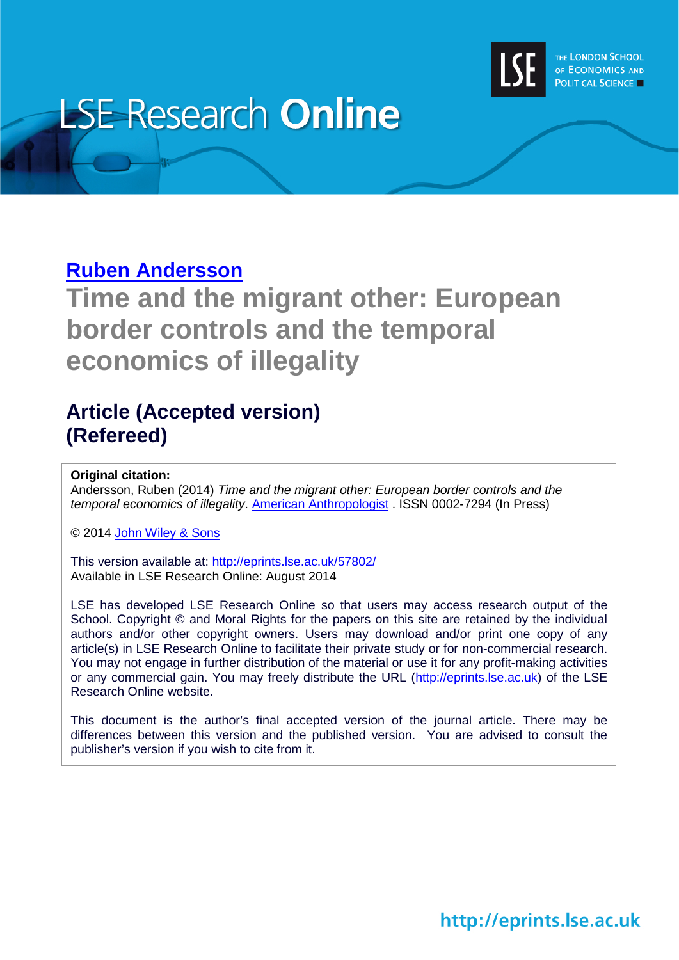

# **LSE Research Online**

# **[Ruben Andersson](http://www.lse.ac.uk/researchAndExpertise/Experts/profile.aspx?KeyValue=r.andersson@lse.ac.uk)**

**Time and the migrant other: European border controls and the temporal economics of illegality**

# **Article (Accepted version) (Refereed)**

# **Original citation:**

Andersson, Ruben (2014) *Time and the migrant other: European border controls and the temporal economics of illegality. [American Anthropologist](http://onlinelibrary.wiley.com/journal/10.1111/%28ISSN%291548-1433)* . ISSN 0002-7294 (In Press)

© 2014 [John Wiley & Sons](http://onlinelibrary.wiley.com/)

This version available at:<http://eprints.lse.ac.uk/57802/> Available in LSE Research Online: August 2014

LSE has developed LSE Research Online so that users may access research output of the School. Copyright © and Moral Rights for the papers on this site are retained by the individual authors and/or other copyright owners. Users may download and/or print one copy of any article(s) in LSE Research Online to facilitate their private study or for non-commercial research. You may not engage in further distribution of the material or use it for any profit-making activities or any commercial gain. You may freely distribute the URL (http://eprints.lse.ac.uk) of the LSE Research Online website.

This document is the author's final accepted version of the journal article. There may be differences between this version and the published version. You are advised to consult the publisher's version if you wish to cite from it.

# http://eprints.lse.ac.uk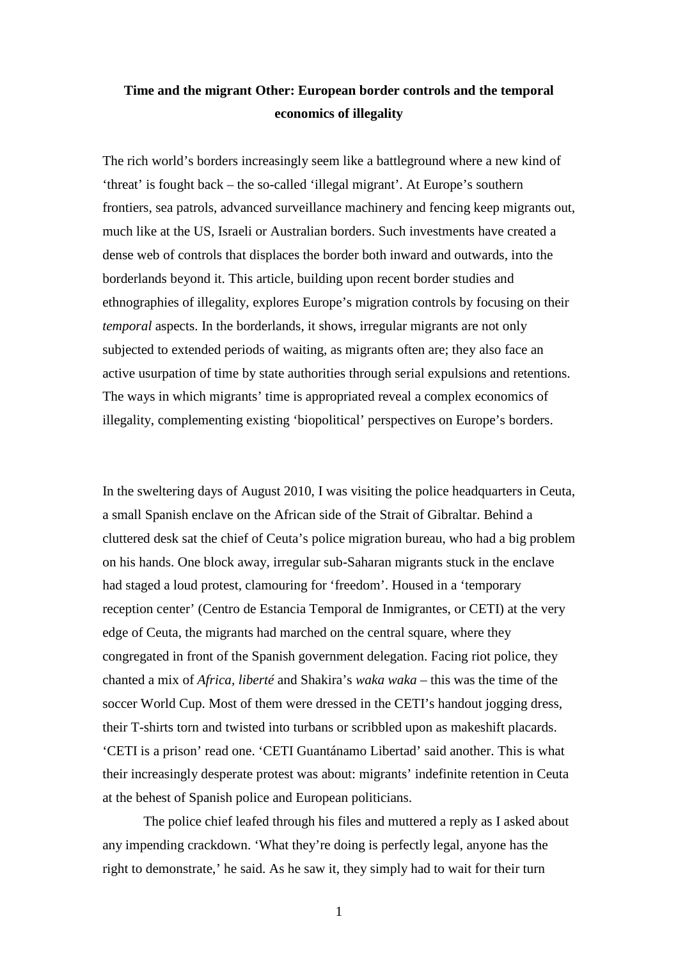# **Time and the migrant Other: European border controls and the temporal economics of illegality**

The rich world's borders increasingly seem like a battleground where a new kind of 'threat' is fought back – the so-called 'illegal migrant'. At Europe's southern frontiers, sea patrols, advanced surveillance machinery and fencing keep migrants out, much like at the US, Israeli or Australian borders. Such investments have created a dense web of controls that displaces the border both inward and outwards, into the borderlands beyond it. This article, building upon recent border studies and ethnographies of illegality, explores Europe's migration controls by focusing on their *temporal* aspects. In the borderlands, it shows, irregular migrants are not only subjected to extended periods of waiting, as migrants often are; they also face an active usurpation of time by state authorities through serial expulsions and retentions. The ways in which migrants' time is appropriated reveal a complex economics of illegality, complementing existing 'biopolitical' perspectives on Europe's borders.

In the sweltering days of August 2010, I was visiting the police headquarters in Ceuta, a small Spanish enclave on the African side of the Strait of Gibraltar. Behind a cluttered desk sat the chief of Ceuta's police migration bureau, who had a big problem on his hands. One block away, irregular sub-Saharan migrants stuck in the enclave had staged a loud protest, clamouring for 'freedom'. Housed in a 'temporary reception center' (Centro de Estancia Temporal de Inmigrantes, or CETI) at the very edge of Ceuta, the migrants had marched on the central square, where they congregated in front of the Spanish government delegation. Facing riot police, they chanted a mix of *Africa, liberté* and Shakira's *waka waka* – this was the time of the soccer World Cup. Most of them were dressed in the CETI's handout jogging dress, their T-shirts torn and twisted into turbans or scribbled upon as makeshift placards. 'CETI is a prison' read one. 'CETI Guantánamo Libertad' said another. This is what their increasingly desperate protest was about: migrants' indefinite retention in Ceuta at the behest of Spanish police and European politicians.

The police chief leafed through his files and muttered a reply as I asked about any impending crackdown. 'What they're doing is perfectly legal, anyone has the right to demonstrate,' he said. As he saw it, they simply had to wait for their turn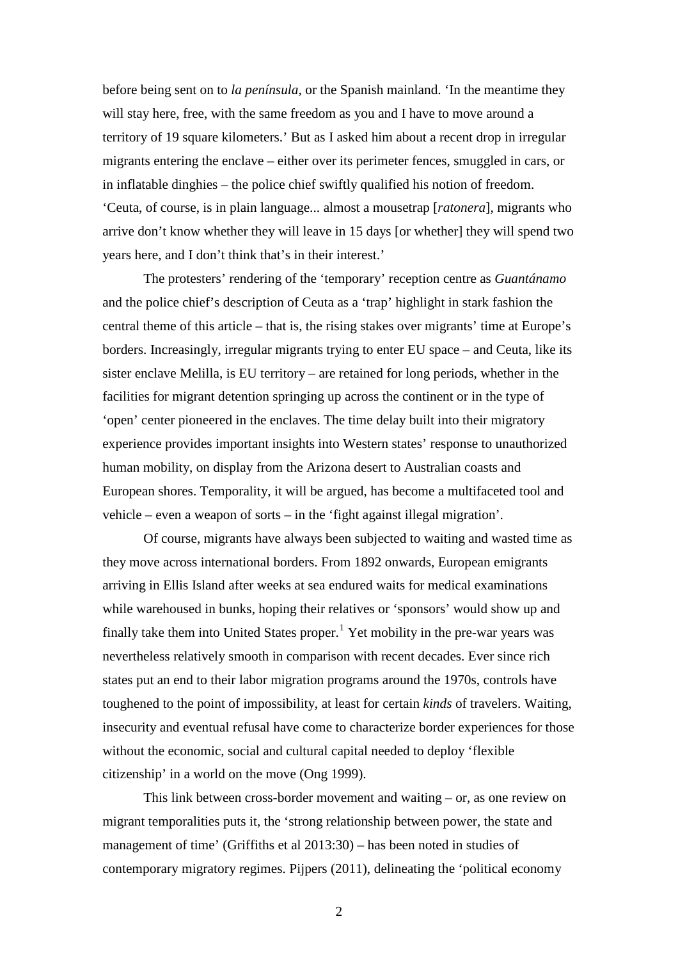before being sent on to *la península,* or the Spanish mainland. 'In the meantime they will stay here, free, with the same freedom as you and I have to move around a territory of 19 square kilometers.' But as I asked him about a recent drop in irregular migrants entering the enclave – either over its perimeter fences, smuggled in cars, or in inflatable dinghies – the police chief swiftly qualified his notion of freedom. 'Ceuta, of course, is in plain language... almost a mousetrap [*ratonera*], migrants who arrive don't know whether they will leave in 15 days [or whether] they will spend two years here, and I don't think that's in their interest.'

The protesters' rendering of the 'temporary' reception centre as *Guantánamo* and the police chief's description of Ceuta as a 'trap' highlight in stark fashion the central theme of this article – that is, the rising stakes over migrants' time at Europe's borders. Increasingly, irregular migrants trying to enter EU space – and Ceuta, like its sister enclave Melilla, is EU territory – are retained for long periods, whether in the facilities for migrant detention springing up across the continent or in the type of 'open' center pioneered in the enclaves. The time delay built into their migratory experience provides important insights into Western states' response to unauthorized human mobility, on display from the Arizona desert to Australian coasts and European shores. Temporality, it will be argued, has become a multifaceted tool and vehicle – even a weapon of sorts – in the 'fight against illegal migration'.

Of course, migrants have always been subjected to waiting and wasted time as they move across international borders. From 1892 onwards, European emigrants arriving in Ellis Island after weeks at sea endured waits for medical examinations while warehoused in bunks, hoping their relatives or 'sponsors' would show up and finally take them into United States proper. [1](#page-28-0) Yet mobility in the pre-war years was nevertheless relatively smooth in comparison with recent decades. Ever since rich states put an end to their labor migration programs around the 1970s, controls have toughened to the point of impossibility, at least for certain *kinds* of travelers. Waiting, insecurity and eventual refusal have come to characterize border experiences for those without the economic, social and cultural capital needed to deploy 'flexible citizenship' in a world on the move (Ong 1999).

This link between cross-border movement and waiting – or, as one review on migrant temporalities puts it, the 'strong relationship between power, the state and management of time' (Griffiths et al 2013:30) – has been noted in studies of contemporary migratory regimes. Pijpers (2011), delineating the 'political economy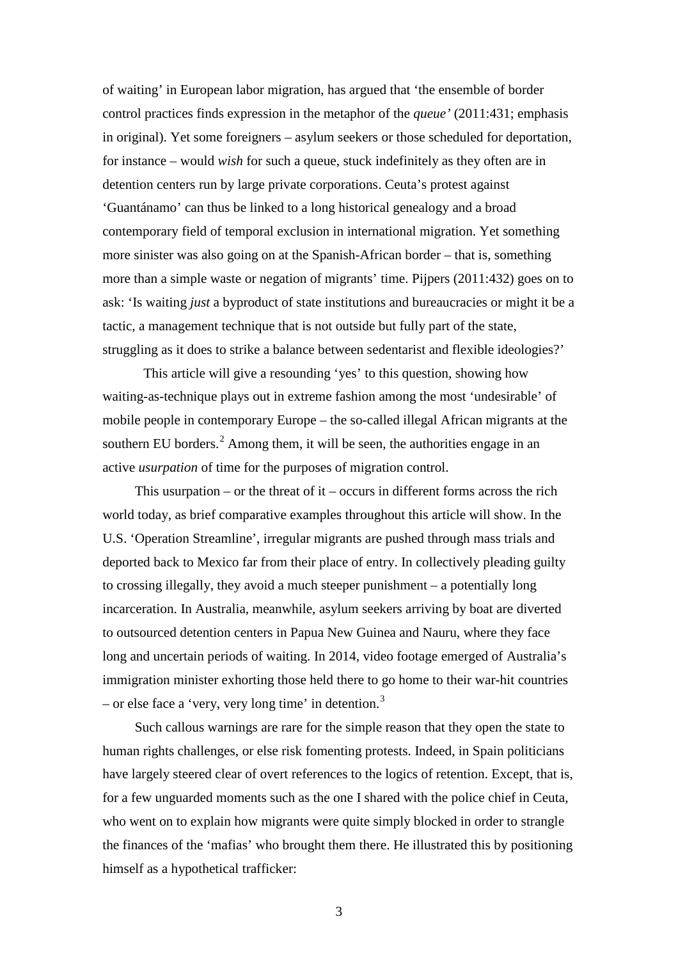of waiting' in European labor migration, has argued that 'the ensemble of border control practices finds expression in the metaphor of the *queue'* (2011:431; emphasis in original). Yet some foreigners – asylum seekers or those scheduled for deportation, for instance – would *wish* for such a queue, stuck indefinitely as they often are in detention centers run by large private corporations. Ceuta's protest against 'Guantánamo' can thus be linked to a long historical genealogy and a broad contemporary field of temporal exclusion in international migration. Yet something more sinister was also going on at the Spanish-African border – that is, something more than a simple waste or negation of migrants' time. Pijpers (2011:432) goes on to ask: 'Is waiting *just* a byproduct of state institutions and bureaucracies or might it be a tactic, a management technique that is not outside but fully part of the state, struggling as it does to strike a balance between sedentarist and flexible ideologies?'

This article will give a resounding 'yes' to this question, showing how waiting-as-technique plays out in extreme fashion among the most 'undesirable' of mobile people in contemporary Europe – the so-called illegal African migrants at the southern EU borders.<sup>[2](#page-28-1)</sup> Among them, it will be seen, the authorities engage in an active *usurpation* of time for the purposes of migration control.

This usurpation – or the threat of it – occurs in different forms across the rich world today, as brief comparative examples throughout this article will show. In the U.S. 'Operation Streamline', irregular migrants are pushed through mass trials and deported back to Mexico far from their place of entry. In collectively pleading guilty to crossing illegally, they avoid a much steeper punishment – a potentially long incarceration. In Australia, meanwhile, asylum seekers arriving by boat are diverted to outsourced detention centers in Papua New Guinea and Nauru, where they face long and uncertain periods of waiting. In 2014, video footage emerged of Australia's immigration minister exhorting those held there to go home to their war-hit countries – or else face a 'very, very long time' in detention.<sup>[3](#page-28-2)</sup>

Such callous warnings are rare for the simple reason that they open the state to human rights challenges, or else risk fomenting protests. Indeed, in Spain politicians have largely steered clear of overt references to the logics of retention. Except, that is, for a few unguarded moments such as the one I shared with the police chief in Ceuta, who went on to explain how migrants were quite simply blocked in order to strangle the finances of the 'mafias' who brought them there. He illustrated this by positioning himself as a hypothetical trafficker: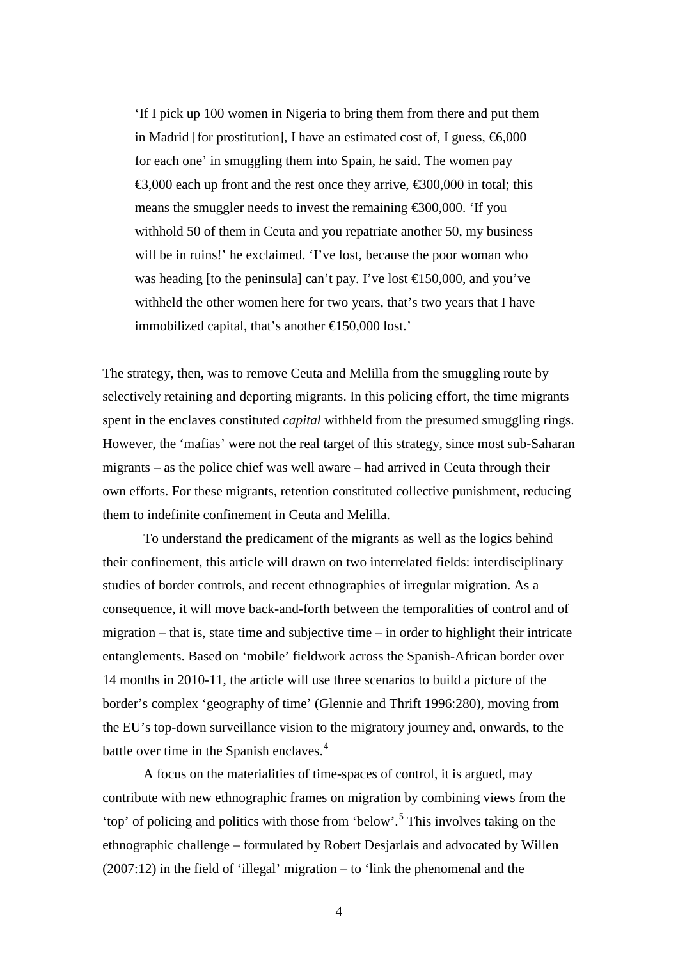'If I pick up 100 women in Nigeria to bring them from there and put them in Madrid [for prostitution], I have an estimated cost of, I guess,  $\epsilon$ 6,000 for each one' in smuggling them into Spain, he said. The women pay €3,000 each up front and the rest once they arrive,  $€300,000$  in total; this means the smuggler needs to invest the remaining €300,000. 'If you withhold 50 of them in Ceuta and you repatriate another 50, my business will be in ruins!' he exclaimed. 'I've lost, because the poor woman who was heading [to the peninsula] can't pay. I've lost  $\bigoplus$  50,000, and you've withheld the other women here for two years, that's two years that I have immobilized capital, that's another  $\in 50,000$  lost.'

The strategy, then, was to remove Ceuta and Melilla from the smuggling route by selectively retaining and deporting migrants. In this policing effort, the time migrants spent in the enclaves constituted *capital* withheld from the presumed smuggling rings. However, the 'mafias' were not the real target of this strategy, since most sub-Saharan migrants – as the police chief was well aware – had arrived in Ceuta through their own efforts. For these migrants, retention constituted collective punishment, reducing them to indefinite confinement in Ceuta and Melilla.

To understand the predicament of the migrants as well as the logics behind their confinement, this article will drawn on two interrelated fields: interdisciplinary studies of border controls, and recent ethnographies of irregular migration. As a consequence, it will move back-and-forth between the temporalities of control and of migration – that is, state time and subjective time – in order to highlight their intricate entanglements. Based on 'mobile' fieldwork across the Spanish-African border over 14 months in 2010-11, the article will use three scenarios to build a picture of the border's complex 'geography of time' (Glennie and Thrift 1996:280), moving from the EU's top-down surveillance vision to the migratory journey and, onwards, to the battle over time in the Spanish enclaves.<sup>[4](#page-28-3)</sup>

A focus on the materialities of time-spaces of control, it is argued, may contribute with new ethnographic frames on migration by combining views from the 'top' of policing and politics with those from 'below'.[5](#page-28-4) This involves taking on the ethnographic challenge – formulated by Robert Desjarlais and advocated by Willen (2007:12) in the field of 'illegal' migration – to 'link the phenomenal and the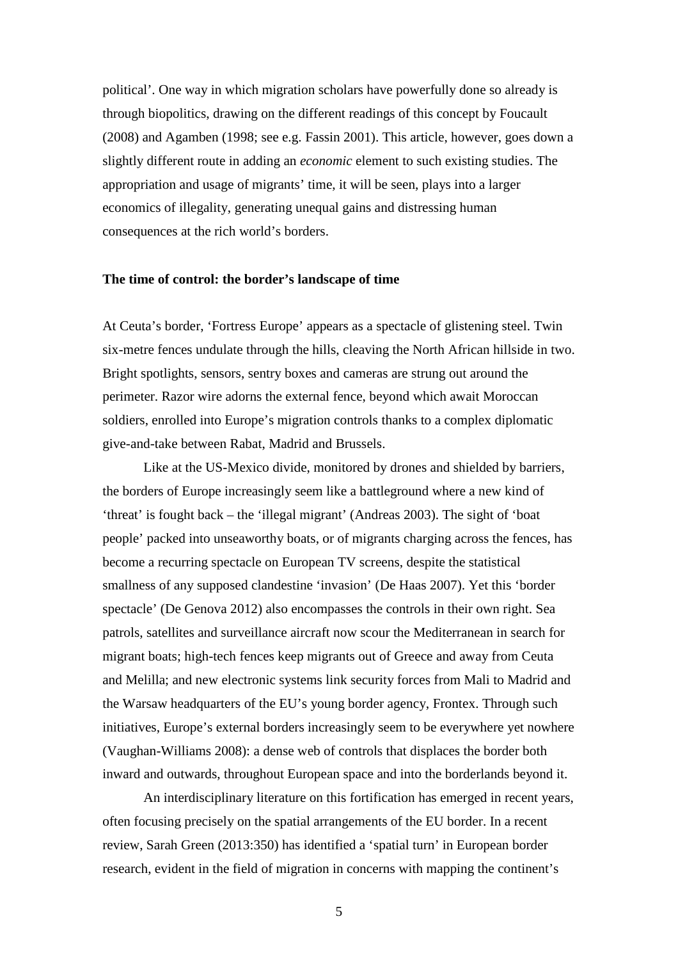political'. One way in which migration scholars have powerfully done so already is through biopolitics, drawing on the different readings of this concept by Foucault (2008) and Agamben (1998; see e.g. Fassin 2001). This article, however, goes down a slightly different route in adding an *economic* element to such existing studies. The appropriation and usage of migrants' time, it will be seen, plays into a larger economics of illegality, generating unequal gains and distressing human consequences at the rich world's borders.

#### **The time of control: the border's landscape of time**

At Ceuta's border, 'Fortress Europe' appears as a spectacle of glistening steel. Twin six-metre fences undulate through the hills, cleaving the North African hillside in two. Bright spotlights, sensors, sentry boxes and cameras are strung out around the perimeter. Razor wire adorns the external fence, beyond which await Moroccan soldiers, enrolled into Europe's migration controls thanks to a complex diplomatic give-and-take between Rabat, Madrid and Brussels.

Like at the US-Mexico divide, monitored by drones and shielded by barriers, the borders of Europe increasingly seem like a battleground where a new kind of 'threat' is fought back – the 'illegal migrant' (Andreas 2003). The sight of 'boat people' packed into unseaworthy boats, or of migrants charging across the fences, has become a recurring spectacle on European TV screens, despite the statistical smallness of any supposed clandestine 'invasion' (De Haas 2007). Yet this 'border spectacle' (De Genova 2012) also encompasses the controls in their own right. Sea patrols, satellites and surveillance aircraft now scour the Mediterranean in search for migrant boats; high-tech fences keep migrants out of Greece and away from Ceuta and Melilla; and new electronic systems link security forces from Mali to Madrid and the Warsaw headquarters of the EU's young border agency, Frontex. Through such initiatives, Europe's external borders increasingly seem to be everywhere yet nowhere (Vaughan-Williams 2008): a dense web of controls that displaces the border both inward and outwards, throughout European space and into the borderlands beyond it.

An interdisciplinary literature on this fortification has emerged in recent years, often focusing precisely on the spatial arrangements of the EU border. In a recent review, Sarah Green (2013:350) has identified a 'spatial turn' in European border research, evident in the field of migration in concerns with mapping the continent's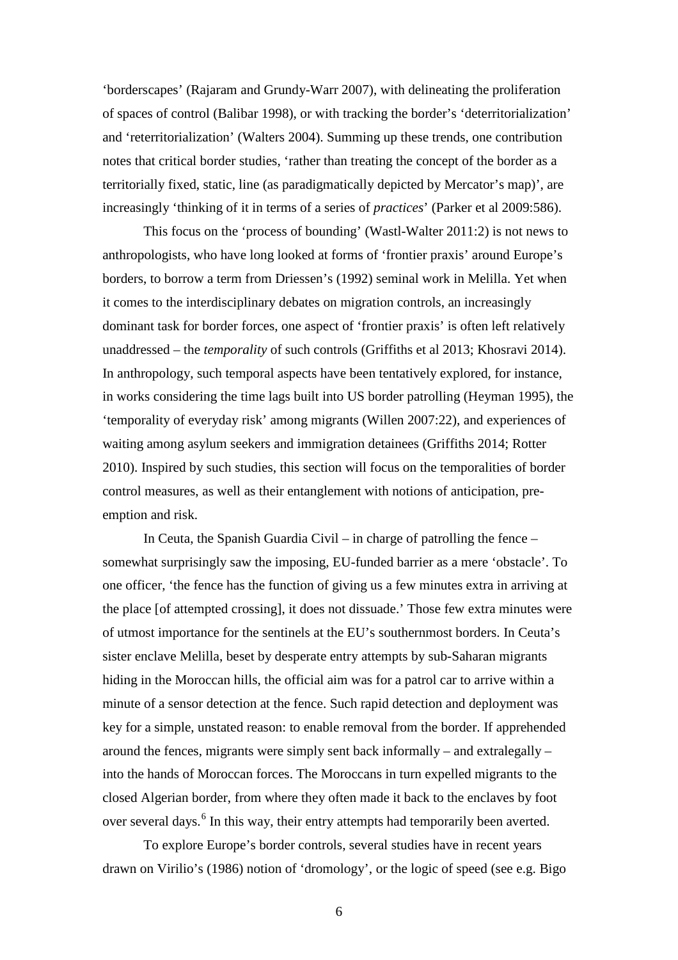'borderscapes' (Rajaram and Grundy-Warr 2007), with delineating the proliferation of spaces of control (Balibar 1998), or with tracking the border's 'deterritorialization' and 'reterritorialization' (Walters 2004). Summing up these trends, one contribution notes that critical border studies, 'rather than treating the concept of the border as a territorially fixed, static, line (as paradigmatically depicted by Mercator's map)', are increasingly 'thinking of it in terms of a series of *practices*' (Parker et al 2009:586).

This focus on the 'process of bounding' (Wastl-Walter 2011:2) is not news to anthropologists, who have long looked at forms of 'frontier praxis' around Europe's borders, to borrow a term from Driessen's (1992) seminal work in Melilla. Yet when it comes to the interdisciplinary debates on migration controls, an increasingly dominant task for border forces, one aspect of 'frontier praxis' is often left relatively unaddressed – the *temporality* of such controls (Griffiths et al 2013; Khosravi 2014). In anthropology, such temporal aspects have been tentatively explored, for instance, in works considering the time lags built into US border patrolling (Heyman 1995), the 'temporality of everyday risk' among migrants (Willen 2007:22), and experiences of waiting among asylum seekers and immigration detainees (Griffiths 2014; Rotter 2010). Inspired by such studies, this section will focus on the temporalities of border control measures, as well as their entanglement with notions of anticipation, preemption and risk.

In Ceuta, the Spanish Guardia Civil – in charge of patrolling the fence – somewhat surprisingly saw the imposing, EU-funded barrier as a mere 'obstacle'. To one officer, 'the fence has the function of giving us a few minutes extra in arriving at the place [of attempted crossing], it does not dissuade.' Those few extra minutes were of utmost importance for the sentinels at the EU's southernmost borders. In Ceuta's sister enclave Melilla, beset by desperate entry attempts by sub-Saharan migrants hiding in the Moroccan hills, the official aim was for a patrol car to arrive within a minute of a sensor detection at the fence. Such rapid detection and deployment was key for a simple, unstated reason: to enable removal from the border. If apprehended around the fences, migrants were simply sent back informally – and extralegally – into the hands of Moroccan forces. The Moroccans in turn expelled migrants to the closed Algerian border, from where they often made it back to the enclaves by foot over several days.<sup>[6](#page-28-5)</sup> In this way, their entry attempts had temporarily been averted.

To explore Europe's border controls, several studies have in recent years drawn on Virilio's (1986) notion of 'dromology', or the logic of speed (see e.g. Bigo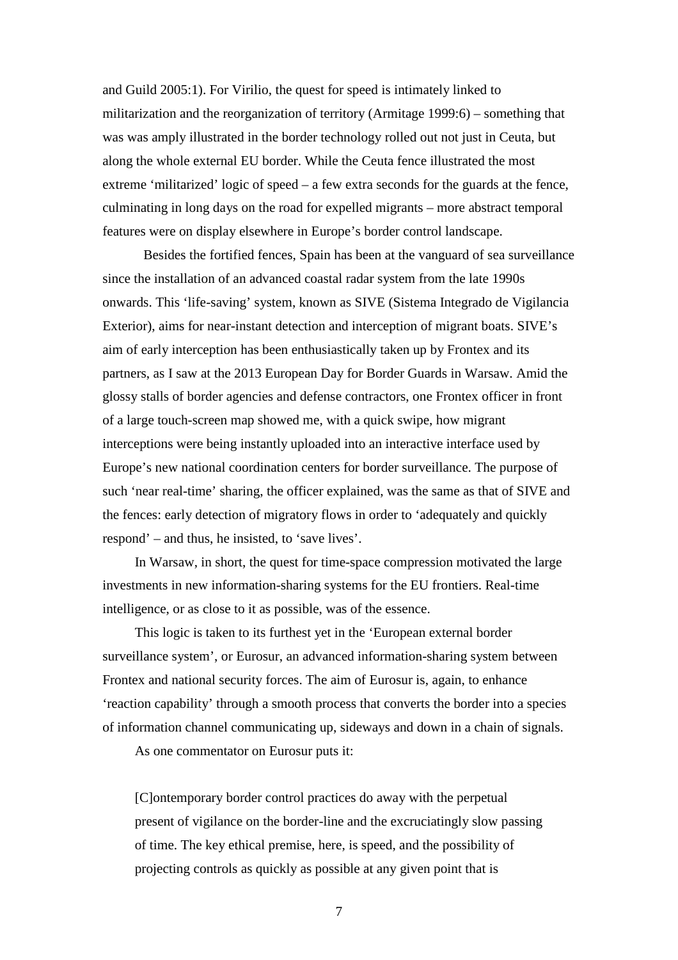and Guild 2005:1). For Virilio, the quest for speed is intimately linked to militarization and the reorganization of territory (Armitage 1999:6) – something that was was amply illustrated in the border technology rolled out not just in Ceuta, but along the whole external EU border. While the Ceuta fence illustrated the most extreme 'militarized' logic of speed – a few extra seconds for the guards at the fence, culminating in long days on the road for expelled migrants – more abstract temporal features were on display elsewhere in Europe's border control landscape.

Besides the fortified fences, Spain has been at the vanguard of sea surveillance since the installation of an advanced coastal radar system from the late 1990s onwards. This 'life-saving' system, known as SIVE (Sistema Integrado de Vigilancia Exterior), aims for near-instant detection and interception of migrant boats. SIVE's aim of early interception has been enthusiastically taken up by Frontex and its partners, as I saw at the 2013 European Day for Border Guards in Warsaw. Amid the glossy stalls of border agencies and defense contractors, one Frontex officer in front of a large touch-screen map showed me, with a quick swipe, how migrant interceptions were being instantly uploaded into an interactive interface used by Europe's new national coordination centers for border surveillance. The purpose of such 'near real-time' sharing, the officer explained, was the same as that of SIVE and the fences: early detection of migratory flows in order to 'adequately and quickly respond' – and thus, he insisted, to 'save lives'.

In Warsaw, in short, the quest for time-space compression motivated the large investments in new information-sharing systems for the EU frontiers. Real-time intelligence, or as close to it as possible, was of the essence.

This logic is taken to its furthest yet in the 'European external border surveillance system', or Eurosur, an advanced information-sharing system between Frontex and national security forces. The aim of Eurosur is, again, to enhance 'reaction capability' through a smooth process that converts the border into a species of information channel communicating up, sideways and down in a chain of signals.

As one commentator on Eurosur puts it:

[C]ontemporary border control practices do away with the perpetual present of vigilance on the border-line and the excruciatingly slow passing of time. The key ethical premise, here, is speed, and the possibility of projecting controls as quickly as possible at any given point that is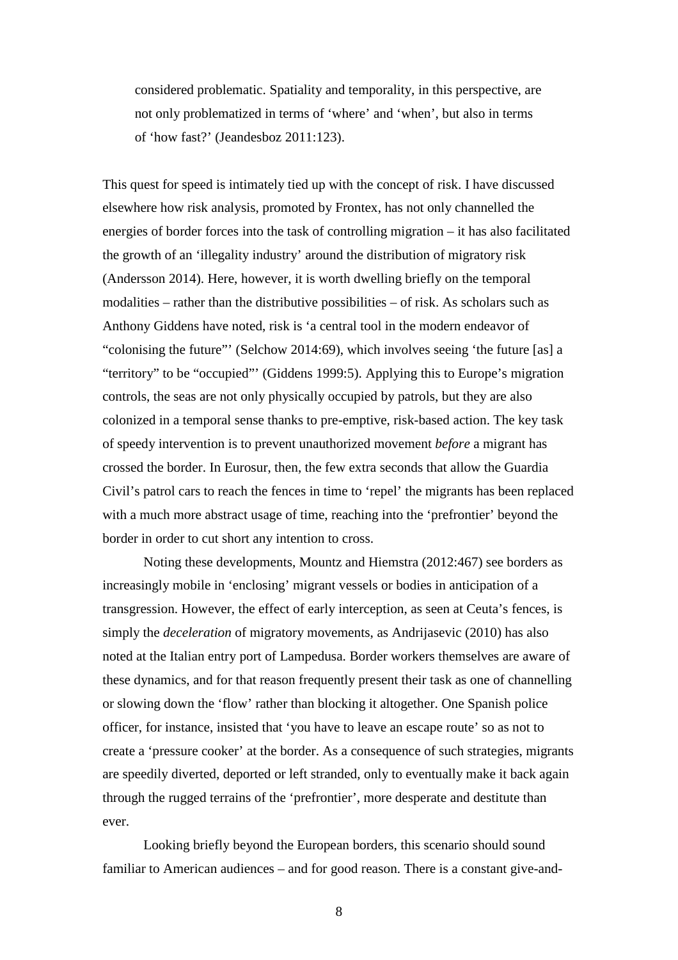considered problematic. Spatiality and temporality, in this perspective, are not only problematized in terms of 'where' and 'when', but also in terms of 'how fast?' (Jeandesboz 2011:123).

This quest for speed is intimately tied up with the concept of risk. I have discussed elsewhere how risk analysis, promoted by Frontex, has not only channelled the energies of border forces into the task of controlling migration – it has also facilitated the growth of an 'illegality industry' around the distribution of migratory risk (Andersson 2014). Here, however, it is worth dwelling briefly on the temporal modalities – rather than the distributive possibilities – of risk. As scholars such as Anthony Giddens have noted, risk is 'a central tool in the modern endeavor of "colonising the future"' (Selchow 2014:69), which involves seeing 'the future [as] a "territory" to be "occupied"' (Giddens 1999:5). Applying this to Europe's migration controls, the seas are not only physically occupied by patrols, but they are also colonized in a temporal sense thanks to pre-emptive, risk-based action. The key task of speedy intervention is to prevent unauthorized movement *before* a migrant has crossed the border. In Eurosur, then, the few extra seconds that allow the Guardia Civil's patrol cars to reach the fences in time to 'repel' the migrants has been replaced with a much more abstract usage of time, reaching into the 'prefrontier' beyond the border in order to cut short any intention to cross.

Noting these developments, Mountz and Hiemstra (2012:467) see borders as increasingly mobile in 'enclosing' migrant vessels or bodies in anticipation of a transgression. However, the effect of early interception, as seen at Ceuta's fences, is simply the *deceleration* of migratory movements, as Andrijasevic (2010) has also noted at the Italian entry port of Lampedusa. Border workers themselves are aware of these dynamics, and for that reason frequently present their task as one of channelling or slowing down the 'flow' rather than blocking it altogether. One Spanish police officer, for instance, insisted that 'you have to leave an escape route' so as not to create a 'pressure cooker' at the border. As a consequence of such strategies, migrants are speedily diverted, deported or left stranded, only to eventually make it back again through the rugged terrains of the 'prefrontier', more desperate and destitute than ever.

Looking briefly beyond the European borders, this scenario should sound familiar to American audiences – and for good reason. There is a constant give-and-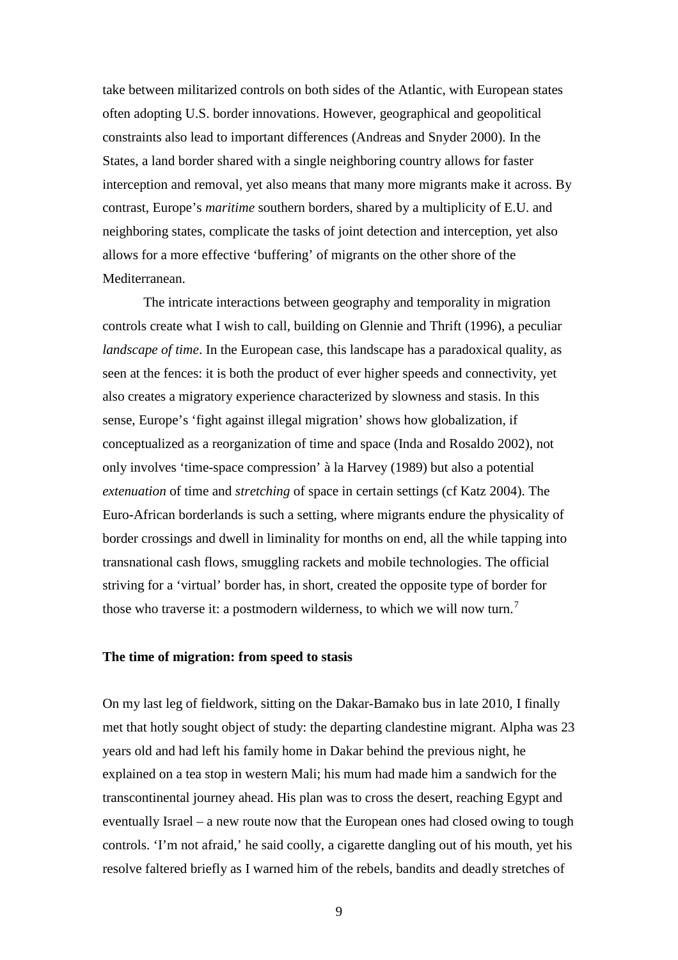take between militarized controls on both sides of the Atlantic, with European states often adopting U.S. border innovations. However, geographical and geopolitical constraints also lead to important differences (Andreas and Snyder 2000). In the States, a land border shared with a single neighboring country allows for faster interception and removal, yet also means that many more migrants make it across. By contrast, Europe's *maritime* southern borders, shared by a multiplicity of E.U. and neighboring states, complicate the tasks of joint detection and interception, yet also allows for a more effective 'buffering' of migrants on the other shore of the Mediterranean.

The intricate interactions between geography and temporality in migration controls create what I wish to call, building on Glennie and Thrift (1996), a peculiar *landscape of time*. In the European case, this landscape has a paradoxical quality, as seen at the fences: it is both the product of ever higher speeds and connectivity, yet also creates a migratory experience characterized by slowness and stasis. In this sense, Europe's 'fight against illegal migration' shows how globalization, if conceptualized as a reorganization of time and space (Inda and Rosaldo 2002), not only involves 'time-space compression' à la Harvey (1989) but also a potential *extenuation* of time and *stretching* of space in certain settings (cf Katz 2004). The Euro-African borderlands is such a setting, where migrants endure the physicality of border crossings and dwell in liminality for months on end, all the while tapping into transnational cash flows, smuggling rackets and mobile technologies. The official striving for a 'virtual' border has, in short, created the opposite type of border for those who traverse it: a postmodern wilderness, to which we will now turn.<sup>[7](#page-28-6)</sup>

#### **The time of migration: from speed to stasis**

On my last leg of fieldwork, sitting on the Dakar-Bamako bus in late 2010, I finally met that hotly sought object of study: the departing clandestine migrant. Alpha was 23 years old and had left his family home in Dakar behind the previous night, he explained on a tea stop in western Mali; his mum had made him a sandwich for the transcontinental journey ahead. His plan was to cross the desert, reaching Egypt and eventually Israel – a new route now that the European ones had closed owing to tough controls. 'I'm not afraid,' he said coolly, a cigarette dangling out of his mouth, yet his resolve faltered briefly as I warned him of the rebels, bandits and deadly stretches of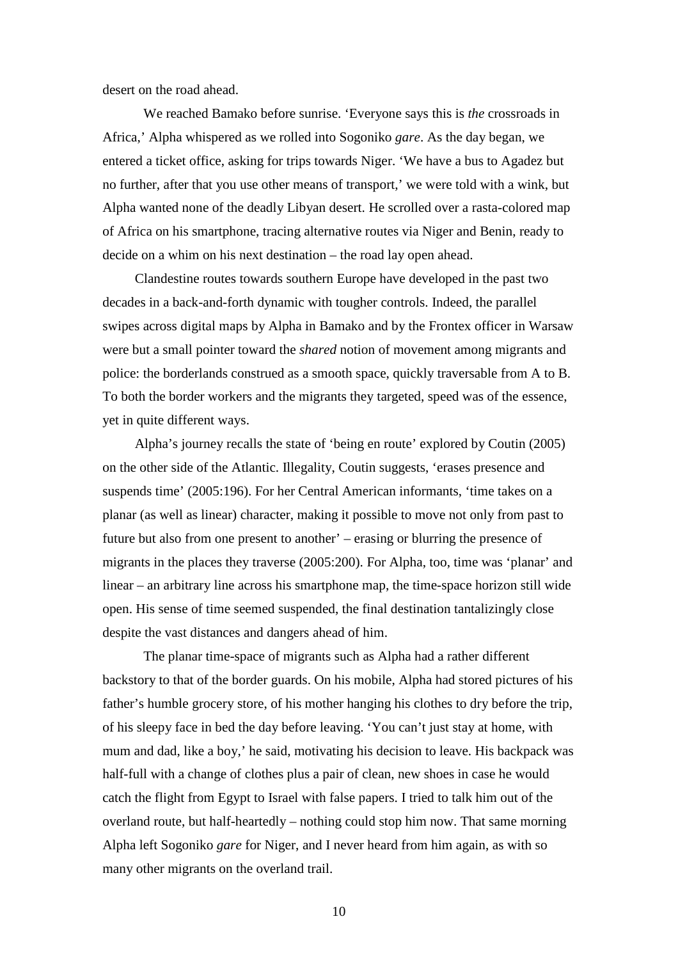desert on the road ahead.

We reached Bamako before sunrise. 'Everyone says this is *the* crossroads in Africa,' Alpha whispered as we rolled into Sogoniko *gare*. As the day began, we entered a ticket office, asking for trips towards Niger. 'We have a bus to Agadez but no further, after that you use other means of transport,' we were told with a wink, but Alpha wanted none of the deadly Libyan desert. He scrolled over a rasta-colored map of Africa on his smartphone, tracing alternative routes via Niger and Benin, ready to decide on a whim on his next destination – the road lay open ahead.

Clandestine routes towards southern Europe have developed in the past two decades in a back-and-forth dynamic with tougher controls. Indeed, the parallel swipes across digital maps by Alpha in Bamako and by the Frontex officer in Warsaw were but a small pointer toward the *shared* notion of movement among migrants and police: the borderlands construed as a smooth space, quickly traversable from A to B. To both the border workers and the migrants they targeted, speed was of the essence, yet in quite different ways.

Alpha's journey recalls the state of 'being en route' explored by Coutin (2005) on the other side of the Atlantic. Illegality, Coutin suggests, 'erases presence and suspends time' (2005:196). For her Central American informants, 'time takes on a planar (as well as linear) character, making it possible to move not only from past to future but also from one present to another' – erasing or blurring the presence of migrants in the places they traverse (2005:200). For Alpha, too, time was 'planar' and linear – an arbitrary line across his smartphone map, the time-space horizon still wide open. His sense of time seemed suspended, the final destination tantalizingly close despite the vast distances and dangers ahead of him.

The planar time-space of migrants such as Alpha had a rather different backstory to that of the border guards. On his mobile, Alpha had stored pictures of his father's humble grocery store, of his mother hanging his clothes to dry before the trip, of his sleepy face in bed the day before leaving. 'You can't just stay at home, with mum and dad, like a boy,' he said, motivating his decision to leave. His backpack was half-full with a change of clothes plus a pair of clean, new shoes in case he would catch the flight from Egypt to Israel with false papers. I tried to talk him out of the overland route, but half-heartedly – nothing could stop him now. That same morning Alpha left Sogoniko *gare* for Niger, and I never heard from him again, as with so many other migrants on the overland trail.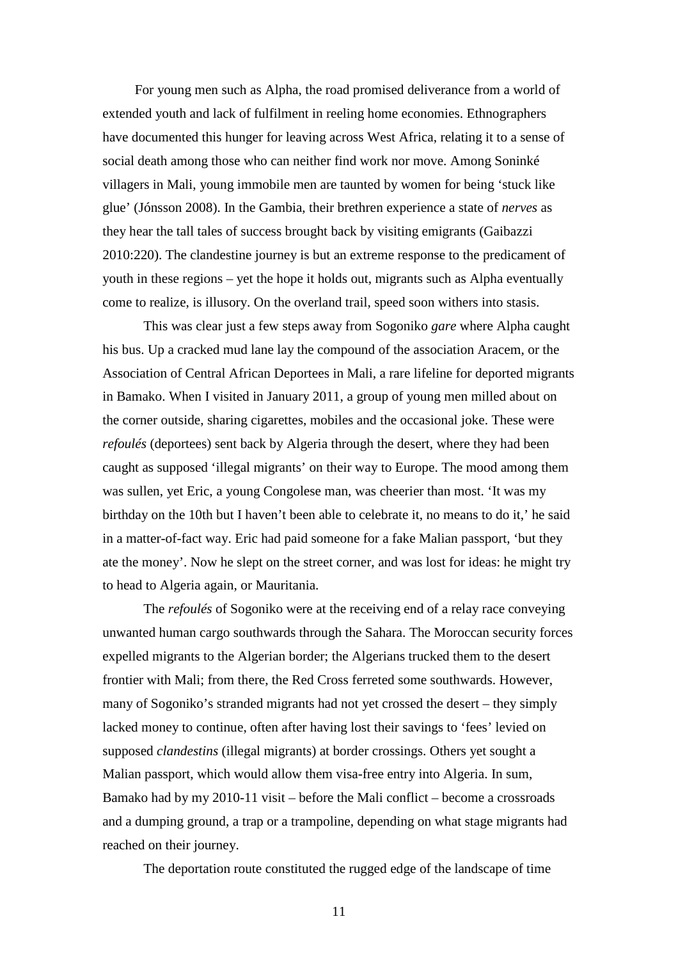For young men such as Alpha, the road promised deliverance from a world of extended youth and lack of fulfilment in reeling home economies. Ethnographers have documented this hunger for leaving across West Africa, relating it to a sense of social death among those who can neither find work nor move. Among Soninké villagers in Mali, young immobile men are taunted by women for being 'stuck like glue' (Jónsson 2008). In the Gambia, their brethren experience a state of *nerves* as they hear the tall tales of success brought back by visiting emigrants (Gaibazzi 2010:220). The clandestine journey is but an extreme response to the predicament of youth in these regions – yet the hope it holds out, migrants such as Alpha eventually come to realize, is illusory. On the overland trail, speed soon withers into stasis.

This was clear just a few steps away from Sogoniko *gare* where Alpha caught his bus. Up a cracked mud lane lay the compound of the association Aracem, or the Association of Central African Deportees in Mali, a rare lifeline for deported migrants in Bamako. When I visited in January 2011, a group of young men milled about on the corner outside, sharing cigarettes, mobiles and the occasional joke. These were *refoulés* (deportees) sent back by Algeria through the desert, where they had been caught as supposed 'illegal migrants' on their way to Europe. The mood among them was sullen, yet Eric, a young Congolese man, was cheerier than most. 'It was my birthday on the 10th but I haven't been able to celebrate it, no means to do it,' he said in a matter-of-fact way. Eric had paid someone for a fake Malian passport, 'but they ate the money'. Now he slept on the street corner, and was lost for ideas: he might try to head to Algeria again, or Mauritania.

The *refoulés* of Sogoniko were at the receiving end of a relay race conveying unwanted human cargo southwards through the Sahara. The Moroccan security forces expelled migrants to the Algerian border; the Algerians trucked them to the desert frontier with Mali; from there, the Red Cross ferreted some southwards. However, many of Sogoniko's stranded migrants had not yet crossed the desert – they simply lacked money to continue, often after having lost their savings to 'fees' levied on supposed *clandestins* (illegal migrants) at border crossings. Others yet sought a Malian passport, which would allow them visa-free entry into Algeria. In sum, Bamako had by my 2010-11 visit – before the Mali conflict – become a crossroads and a dumping ground, a trap or a trampoline, depending on what stage migrants had reached on their journey.

The deportation route constituted the rugged edge of the landscape of time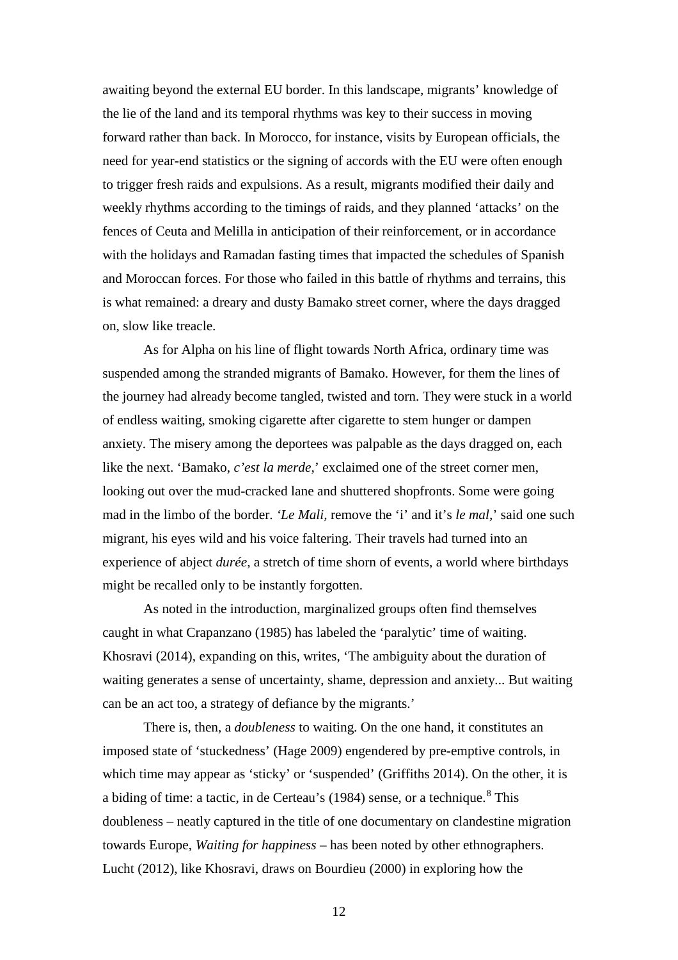awaiting beyond the external EU border. In this landscape, migrants' knowledge of the lie of the land and its temporal rhythms was key to their success in moving forward rather than back. In Morocco, for instance, visits by European officials, the need for year-end statistics or the signing of accords with the EU were often enough to trigger fresh raids and expulsions. As a result, migrants modified their daily and weekly rhythms according to the timings of raids, and they planned 'attacks' on the fences of Ceuta and Melilla in anticipation of their reinforcement, or in accordance with the holidays and Ramadan fasting times that impacted the schedules of Spanish and Moroccan forces. For those who failed in this battle of rhythms and terrains, this is what remained: a dreary and dusty Bamako street corner, where the days dragged on, slow like treacle.

As for Alpha on his line of flight towards North Africa, ordinary time was suspended among the stranded migrants of Bamako. However, for them the lines of the journey had already become tangled, twisted and torn. They were stuck in a world of endless waiting, smoking cigarette after cigarette to stem hunger or dampen anxiety. The misery among the deportees was palpable as the days dragged on, each like the next. 'Bamako, *c'est la merde,*' exclaimed one of the street corner men, looking out over the mud-cracked lane and shuttered shopfronts. Some were going mad in the limbo of the border. *'Le Mali,* remove the 'i' and it's *le mal,*' said one such migrant, his eyes wild and his voice faltering. Their travels had turned into an experience of abject *durée,* a stretch of time shorn of events, a world where birthdays might be recalled only to be instantly forgotten.

As noted in the introduction, marginalized groups often find themselves caught in what Crapanzano (1985) has labeled the 'paralytic' time of waiting. Khosravi (2014), expanding on this, writes, 'The ambiguity about the duration of waiting generates a sense of uncertainty, shame, depression and anxiety... But waiting can be an act too, a strategy of defiance by the migrants.'

There is, then, a *doubleness* to waiting. On the one hand, it constitutes an imposed state of 'stuckedness' (Hage 2009) engendered by pre-emptive controls, in which time may appear as 'sticky' or 'suspended' (Griffiths 2014). On the other, it is a biding of time: a tactic, in de Certeau's (19[8](#page-28-7)4) sense, or a technique.<sup>8</sup> This doubleness – neatly captured in the title of one documentary on clandestine migration towards Europe, *Waiting for happiness* – has been noted by other ethnographers. Lucht (2012), like Khosravi, draws on Bourdieu (2000) in exploring how the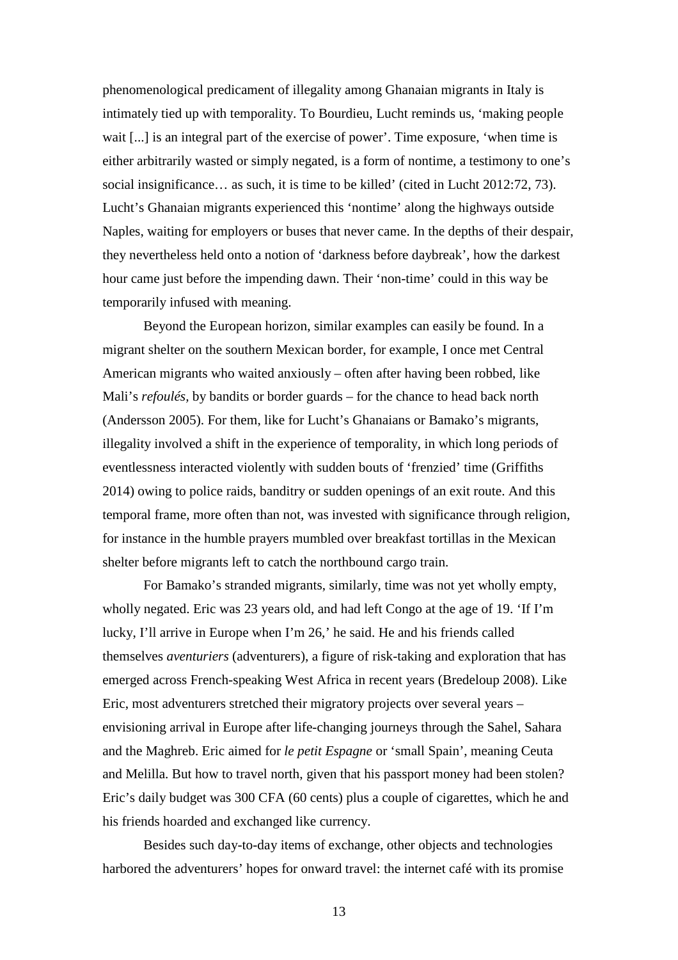phenomenological predicament of illegality among Ghanaian migrants in Italy is intimately tied up with temporality. To Bourdieu, Lucht reminds us, 'making people wait [...] is an integral part of the exercise of power'. Time exposure, 'when time is either arbitrarily wasted or simply negated, is a form of nontime, a testimony to one's social insignificance… as such, it is time to be killed' (cited in Lucht 2012:72, 73). Lucht's Ghanaian migrants experienced this 'nontime' along the highways outside Naples, waiting for employers or buses that never came. In the depths of their despair, they nevertheless held onto a notion of 'darkness before daybreak', how the darkest hour came just before the impending dawn. Their 'non-time' could in this way be temporarily infused with meaning.

Beyond the European horizon, similar examples can easily be found. In a migrant shelter on the southern Mexican border, for example, I once met Central American migrants who waited anxiously – often after having been robbed, like Mali's *refoulés*, by bandits or border guards – for the chance to head back north (Andersson 2005). For them, like for Lucht's Ghanaians or Bamako's migrants, illegality involved a shift in the experience of temporality, in which long periods of eventlessness interacted violently with sudden bouts of 'frenzied' time (Griffiths 2014) owing to police raids, banditry or sudden openings of an exit route. And this temporal frame, more often than not, was invested with significance through religion, for instance in the humble prayers mumbled over breakfast tortillas in the Mexican shelter before migrants left to catch the northbound cargo train.

For Bamako's stranded migrants, similarly, time was not yet wholly empty, wholly negated. Eric was 23 years old, and had left Congo at the age of 19. 'If I'm lucky, I'll arrive in Europe when I'm 26,' he said. He and his friends called themselves *aventuriers* (adventurers), a figure of risk-taking and exploration that has emerged across French-speaking West Africa in recent years (Bredeloup 2008). Like Eric, most adventurers stretched their migratory projects over several years – envisioning arrival in Europe after life-changing journeys through the Sahel, Sahara and the Maghreb. Eric aimed for *le petit Espagne* or 'small Spain', meaning Ceuta and Melilla. But how to travel north, given that his passport money had been stolen? Eric's daily budget was 300 CFA (60 cents) plus a couple of cigarettes, which he and his friends hoarded and exchanged like currency.

Besides such day-to-day items of exchange, other objects and technologies harbored the adventurers' hopes for onward travel: the internet café with its promise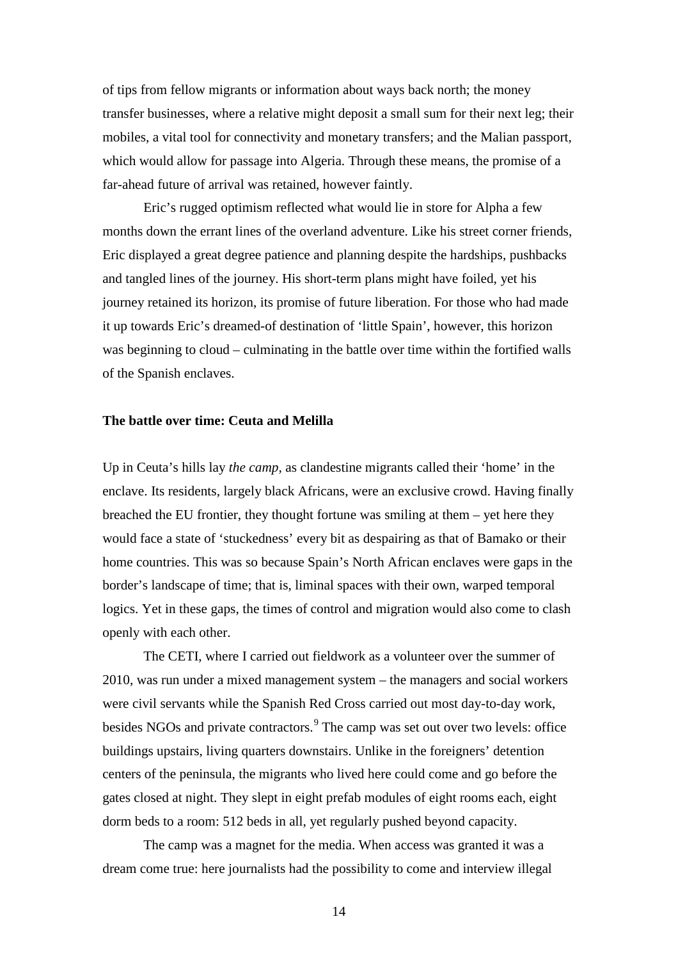of tips from fellow migrants or information about ways back north; the money transfer businesses, where a relative might deposit a small sum for their next leg; their mobiles, a vital tool for connectivity and monetary transfers; and the Malian passport, which would allow for passage into Algeria. Through these means, the promise of a far-ahead future of arrival was retained, however faintly.

Eric's rugged optimism reflected what would lie in store for Alpha a few months down the errant lines of the overland adventure. Like his street corner friends, Eric displayed a great degree patience and planning despite the hardships, pushbacks and tangled lines of the journey. His short-term plans might have foiled, yet his journey retained its horizon, its promise of future liberation. For those who had made it up towards Eric's dreamed-of destination of 'little Spain', however, this horizon was beginning to cloud – culminating in the battle over time within the fortified walls of the Spanish enclaves.

#### **The battle over time: Ceuta and Melilla**

Up in Ceuta's hills lay *the camp,* as clandestine migrants called their 'home' in the enclave. Its residents, largely black Africans, were an exclusive crowd. Having finally breached the EU frontier, they thought fortune was smiling at them – yet here they would face a state of 'stuckedness' every bit as despairing as that of Bamako or their home countries. This was so because Spain's North African enclaves were gaps in the border's landscape of time; that is, liminal spaces with their own, warped temporal logics. Yet in these gaps, the times of control and migration would also come to clash openly with each other.

The CETI, where I carried out fieldwork as a volunteer over the summer of 2010, was run under a mixed management system – the managers and social workers were civil servants while the Spanish Red Cross carried out most day-to-day work, besides NGOs and private contractors.<sup>[9](#page-28-8)</sup> The camp was set out over two levels: office buildings upstairs, living quarters downstairs. Unlike in the foreigners' detention centers of the peninsula, the migrants who lived here could come and go before the gates closed at night. They slept in eight prefab modules of eight rooms each, eight dorm beds to a room: 512 beds in all, yet regularly pushed beyond capacity.

The camp was a magnet for the media. When access was granted it was a dream come true: here journalists had the possibility to come and interview illegal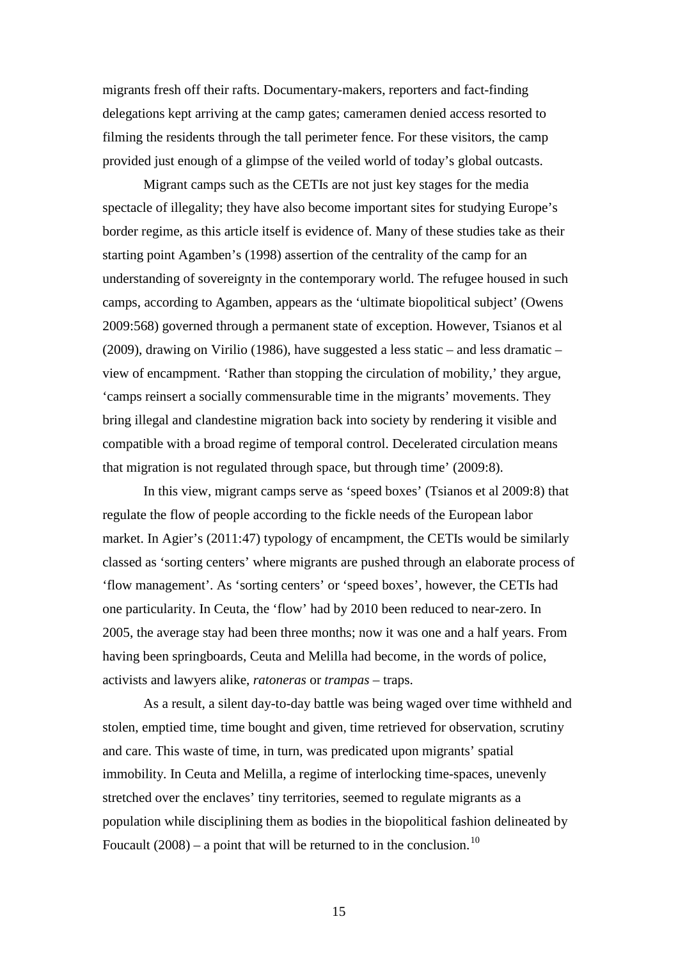migrants fresh off their rafts. Documentary-makers, reporters and fact-finding delegations kept arriving at the camp gates; cameramen denied access resorted to filming the residents through the tall perimeter fence. For these visitors, the camp provided just enough of a glimpse of the veiled world of today's global outcasts.

Migrant camps such as the CETIs are not just key stages for the media spectacle of illegality; they have also become important sites for studying Europe's border regime, as this article itself is evidence of. Many of these studies take as their starting point Agamben's (1998) assertion of the centrality of the camp for an understanding of sovereignty in the contemporary world. The refugee housed in such camps, according to Agamben, appears as the 'ultimate biopolitical subject' (Owens 2009:568) governed through a permanent state of exception. However, Tsianos et al (2009), drawing on Virilio (1986), have suggested a less static – and less dramatic – view of encampment. 'Rather than stopping the circulation of mobility,' they argue, 'camps reinsert a socially commensurable time in the migrants' movements. They bring illegal and clandestine migration back into society by rendering it visible and compatible with a broad regime of temporal control. Decelerated circulation means that migration is not regulated through space, but through time' (2009:8).

In this view, migrant camps serve as 'speed boxes' (Tsianos et al 2009:8) that regulate the flow of people according to the fickle needs of the European labor market. In Agier's (2011:47) typology of encampment, the CETIs would be similarly classed as 'sorting centers' where migrants are pushed through an elaborate process of 'flow management'. As 'sorting centers' or 'speed boxes', however, the CETIs had one particularity. In Ceuta, the 'flow' had by 2010 been reduced to near-zero. In 2005, the average stay had been three months; now it was one and a half years. From having been springboards, Ceuta and Melilla had become, in the words of police, activists and lawyers alike, *ratoneras* or *trampas* – traps.

As a result, a silent day-to-day battle was being waged over time withheld and stolen, emptied time, time bought and given, time retrieved for observation, scrutiny and care. This waste of time, in turn, was predicated upon migrants' spatial immobility. In Ceuta and Melilla, a regime of interlocking time-spaces, unevenly stretched over the enclaves' tiny territories, seemed to regulate migrants as a population while disciplining them as bodies in the biopolitical fashion delineated by Foucault (2008) – a point that will be returned to in the conclusion.<sup>[10](#page-28-9)</sup>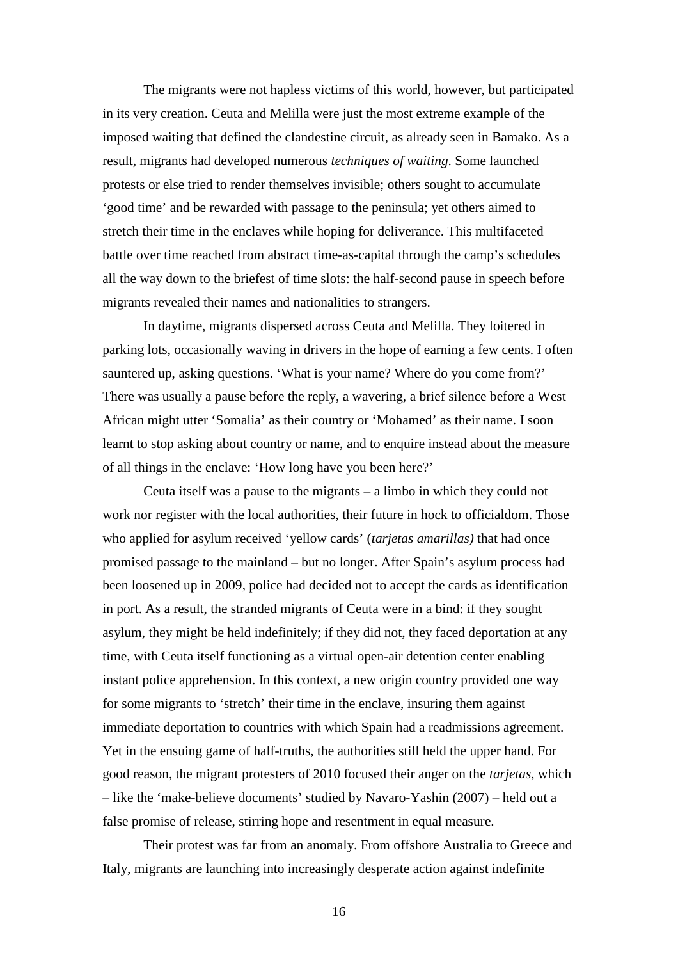The migrants were not hapless victims of this world, however, but participated in its very creation. Ceuta and Melilla were just the most extreme example of the imposed waiting that defined the clandestine circuit, as already seen in Bamako. As a result, migrants had developed numerous *techniques of waiting*. Some launched protests or else tried to render themselves invisible; others sought to accumulate 'good time' and be rewarded with passage to the peninsula; yet others aimed to stretch their time in the enclaves while hoping for deliverance. This multifaceted battle over time reached from abstract time-as-capital through the camp's schedules all the way down to the briefest of time slots: the half-second pause in speech before migrants revealed their names and nationalities to strangers.

In daytime, migrants dispersed across Ceuta and Melilla. They loitered in parking lots, occasionally waving in drivers in the hope of earning a few cents. I often sauntered up, asking questions. 'What is your name? Where do you come from?' There was usually a pause before the reply, a wavering, a brief silence before a West African might utter 'Somalia' as their country or 'Mohamed' as their name. I soon learnt to stop asking about country or name, and to enquire instead about the measure of all things in the enclave: 'How long have you been here?'

Ceuta itself was a pause to the migrants – a limbo in which they could not work nor register with the local authorities, their future in hock to officialdom. Those who applied for asylum received 'yellow cards' (*tarjetas amarillas)* that had once promised passage to the mainland – but no longer. After Spain's asylum process had been loosened up in 2009, police had decided not to accept the cards as identification in port. As a result, the stranded migrants of Ceuta were in a bind: if they sought asylum, they might be held indefinitely; if they did not, they faced deportation at any time, with Ceuta itself functioning as a virtual open-air detention center enabling instant police apprehension. In this context, a new origin country provided one way for some migrants to 'stretch' their time in the enclave, insuring them against immediate deportation to countries with which Spain had a readmissions agreement. Yet in the ensuing game of half-truths, the authorities still held the upper hand. For good reason, the migrant protesters of 2010 focused their anger on the *tarjetas,* which – like the 'make-believe documents' studied by Navaro-Yashin (2007) – held out a false promise of release, stirring hope and resentment in equal measure.

Their protest was far from an anomaly. From offshore Australia to Greece and Italy, migrants are launching into increasingly desperate action against indefinite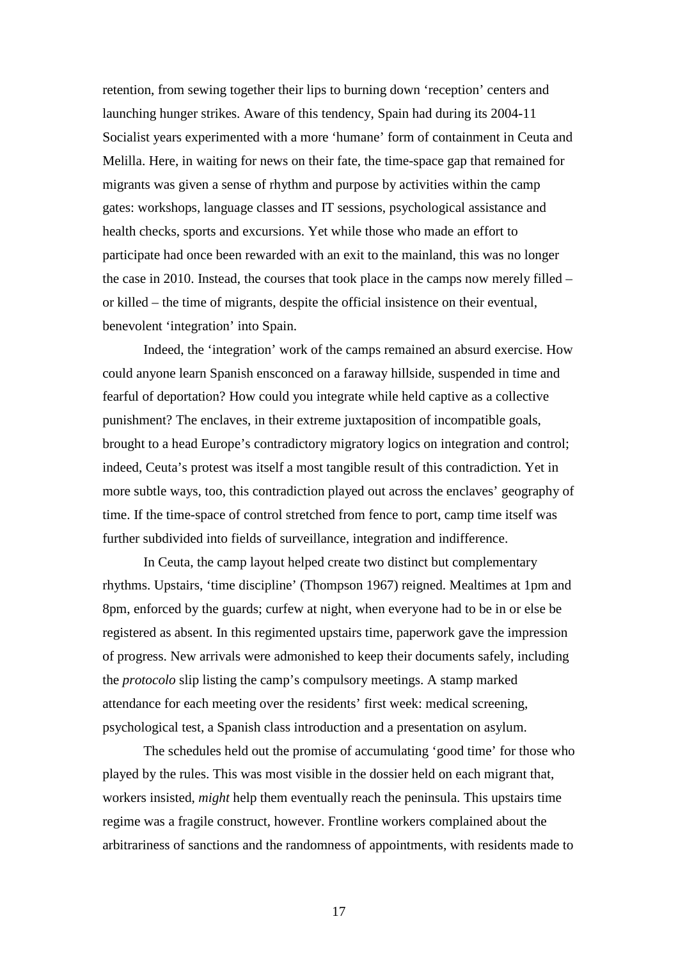retention, from sewing together their lips to burning down 'reception' centers and launching hunger strikes. Aware of this tendency, Spain had during its 2004-11 Socialist years experimented with a more 'humane' form of containment in Ceuta and Melilla. Here, in waiting for news on their fate, the time-space gap that remained for migrants was given a sense of rhythm and purpose by activities within the camp gates: workshops, language classes and IT sessions, psychological assistance and health checks, sports and excursions. Yet while those who made an effort to participate had once been rewarded with an exit to the mainland, this was no longer the case in 2010. Instead, the courses that took place in the camps now merely filled – or killed – the time of migrants, despite the official insistence on their eventual, benevolent 'integration' into Spain.

Indeed, the 'integration' work of the camps remained an absurd exercise. How could anyone learn Spanish ensconced on a faraway hillside, suspended in time and fearful of deportation? How could you integrate while held captive as a collective punishment? The enclaves, in their extreme juxtaposition of incompatible goals, brought to a head Europe's contradictory migratory logics on integration and control; indeed, Ceuta's protest was itself a most tangible result of this contradiction. Yet in more subtle ways, too, this contradiction played out across the enclaves' geography of time. If the time-space of control stretched from fence to port, camp time itself was further subdivided into fields of surveillance, integration and indifference.

In Ceuta, the camp layout helped create two distinct but complementary rhythms. Upstairs, 'time discipline' (Thompson 1967) reigned. Mealtimes at 1pm and 8pm, enforced by the guards; curfew at night, when everyone had to be in or else be registered as absent. In this regimented upstairs time, paperwork gave the impression of progress. New arrivals were admonished to keep their documents safely, including the *protocolo* slip listing the camp's compulsory meetings. A stamp marked attendance for each meeting over the residents' first week: medical screening, psychological test, a Spanish class introduction and a presentation on asylum.

The schedules held out the promise of accumulating 'good time' for those who played by the rules. This was most visible in the dossier held on each migrant that, workers insisted, *might* help them eventually reach the peninsula. This upstairs time regime was a fragile construct, however. Frontline workers complained about the arbitrariness of sanctions and the randomness of appointments, with residents made to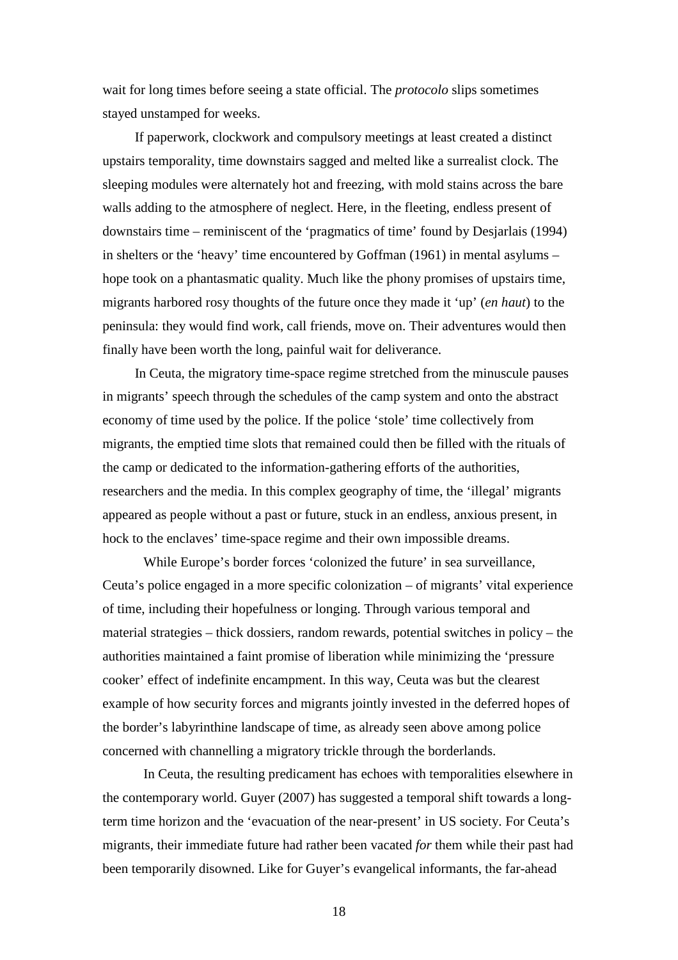wait for long times before seeing a state official. The *protocolo* slips sometimes stayed unstamped for weeks.

If paperwork, clockwork and compulsory meetings at least created a distinct upstairs temporality, time downstairs sagged and melted like a surrealist clock. The sleeping modules were alternately hot and freezing, with mold stains across the bare walls adding to the atmosphere of neglect. Here, in the fleeting, endless present of downstairs time – reminiscent of the 'pragmatics of time' found by Desjarlais (1994) in shelters or the 'heavy' time encountered by Goffman (1961) in mental asylums – hope took on a phantasmatic quality. Much like the phony promises of upstairs time, migrants harbored rosy thoughts of the future once they made it 'up' (*en haut*) to the peninsula: they would find work, call friends, move on. Their adventures would then finally have been worth the long, painful wait for deliverance.

In Ceuta, the migratory time-space regime stretched from the minuscule pauses in migrants' speech through the schedules of the camp system and onto the abstract economy of time used by the police. If the police 'stole' time collectively from migrants, the emptied time slots that remained could then be filled with the rituals of the camp or dedicated to the information-gathering efforts of the authorities, researchers and the media. In this complex geography of time, the 'illegal' migrants appeared as people without a past or future, stuck in an endless, anxious present, in hock to the enclaves' time-space regime and their own impossible dreams.

While Europe's border forces 'colonized the future' in sea surveillance, Ceuta's police engaged in a more specific colonization – of migrants' vital experience of time, including their hopefulness or longing. Through various temporal and material strategies – thick dossiers, random rewards, potential switches in policy – the authorities maintained a faint promise of liberation while minimizing the 'pressure cooker' effect of indefinite encampment. In this way, Ceuta was but the clearest example of how security forces and migrants jointly invested in the deferred hopes of the border's labyrinthine landscape of time, as already seen above among police concerned with channelling a migratory trickle through the borderlands.

In Ceuta, the resulting predicament has echoes with temporalities elsewhere in the contemporary world. Guyer (2007) has suggested a temporal shift towards a longterm time horizon and the 'evacuation of the near-present' in US society. For Ceuta's migrants, their immediate future had rather been vacated *for* them while their past had been temporarily disowned. Like for Guyer's evangelical informants, the far-ahead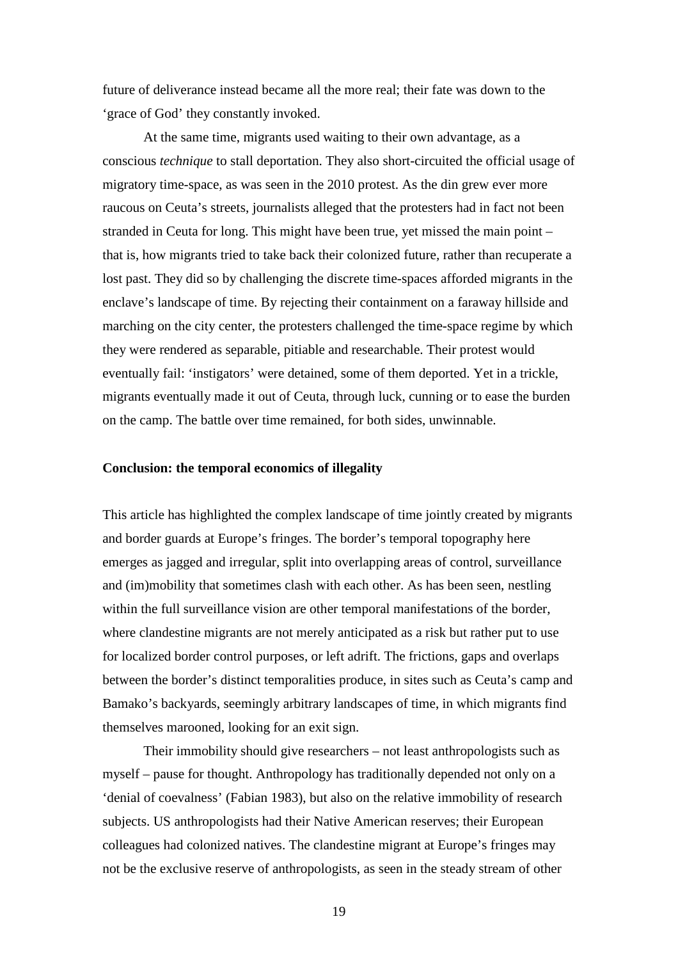future of deliverance instead became all the more real; their fate was down to the 'grace of God' they constantly invoked.

At the same time, migrants used waiting to their own advantage, as a conscious *technique* to stall deportation. They also short-circuited the official usage of migratory time-space, as was seen in the 2010 protest. As the din grew ever more raucous on Ceuta's streets, journalists alleged that the protesters had in fact not been stranded in Ceuta for long. This might have been true, yet missed the main point – that is, how migrants tried to take back their colonized future*,* rather than recuperate a lost past. They did so by challenging the discrete time-spaces afforded migrants in the enclave's landscape of time. By rejecting their containment on a faraway hillside and marching on the city center, the protesters challenged the time-space regime by which they were rendered as separable, pitiable and researchable. Their protest would eventually fail: 'instigators' were detained, some of them deported. Yet in a trickle, migrants eventually made it out of Ceuta, through luck, cunning or to ease the burden on the camp. The battle over time remained, for both sides, unwinnable.

#### **Conclusion: the temporal economics of illegality**

This article has highlighted the complex landscape of time jointly created by migrants and border guards at Europe's fringes. The border's temporal topography here emerges as jagged and irregular, split into overlapping areas of control, surveillance and (im)mobility that sometimes clash with each other. As has been seen, nestling within the full surveillance vision are other temporal manifestations of the border, where clandestine migrants are not merely anticipated as a risk but rather put to use for localized border control purposes, or left adrift. The frictions, gaps and overlaps between the border's distinct temporalities produce, in sites such as Ceuta's camp and Bamako's backyards, seemingly arbitrary landscapes of time, in which migrants find themselves marooned, looking for an exit sign.

Their immobility should give researchers – not least anthropologists such as myself – pause for thought. Anthropology has traditionally depended not only on a 'denial of coevalness' (Fabian 1983), but also on the relative immobility of research subjects. US anthropologists had their Native American reserves; their European colleagues had colonized natives. The clandestine migrant at Europe's fringes may not be the exclusive reserve of anthropologists, as seen in the steady stream of other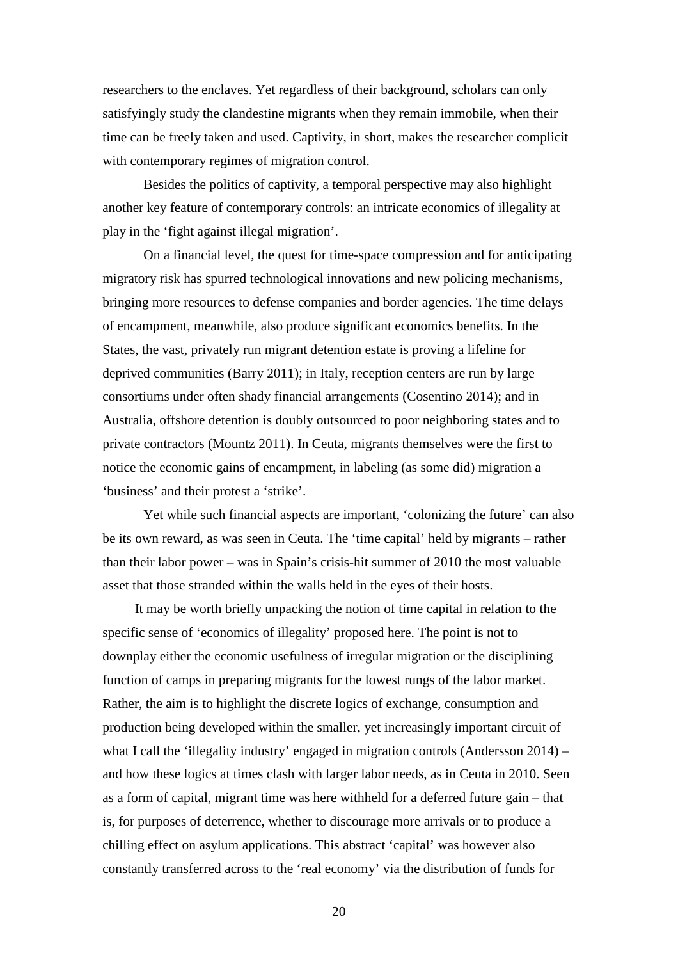researchers to the enclaves. Yet regardless of their background, scholars can only satisfyingly study the clandestine migrants when they remain immobile, when their time can be freely taken and used. Captivity, in short, makes the researcher complicit with contemporary regimes of migration control.

Besides the politics of captivity, a temporal perspective may also highlight another key feature of contemporary controls: an intricate economics of illegality at play in the 'fight against illegal migration'.

On a financial level, the quest for time-space compression and for anticipating migratory risk has spurred technological innovations and new policing mechanisms, bringing more resources to defense companies and border agencies. The time delays of encampment, meanwhile, also produce significant economics benefits. In the States, the vast, privately run migrant detention estate is proving a lifeline for deprived communities (Barry 2011); in Italy, reception centers are run by large consortiums under often shady financial arrangements (Cosentino 2014); and in Australia, offshore detention is doubly outsourced to poor neighboring states and to private contractors (Mountz 2011). In Ceuta, migrants themselves were the first to notice the economic gains of encampment, in labeling (as some did) migration a 'business' and their protest a 'strike'.

Yet while such financial aspects are important, 'colonizing the future' can also be its own reward, as was seen in Ceuta. The 'time capital' held by migrants – rather than their labor power – was in Spain's crisis-hit summer of 2010 the most valuable asset that those stranded within the walls held in the eyes of their hosts.

It may be worth briefly unpacking the notion of time capital in relation to the specific sense of 'economics of illegality' proposed here. The point is not to downplay either the economic usefulness of irregular migration or the disciplining function of camps in preparing migrants for the lowest rungs of the labor market. Rather, the aim is to highlight the discrete logics of exchange, consumption and production being developed within the smaller, yet increasingly important circuit of what I call the 'illegality industry' engaged in migration controls (Andersson 2014) – and how these logics at times clash with larger labor needs, as in Ceuta in 2010. Seen as a form of capital, migrant time was here withheld for a deferred future gain – that is, for purposes of deterrence, whether to discourage more arrivals or to produce a chilling effect on asylum applications. This abstract 'capital' was however also constantly transferred across to the 'real economy' via the distribution of funds for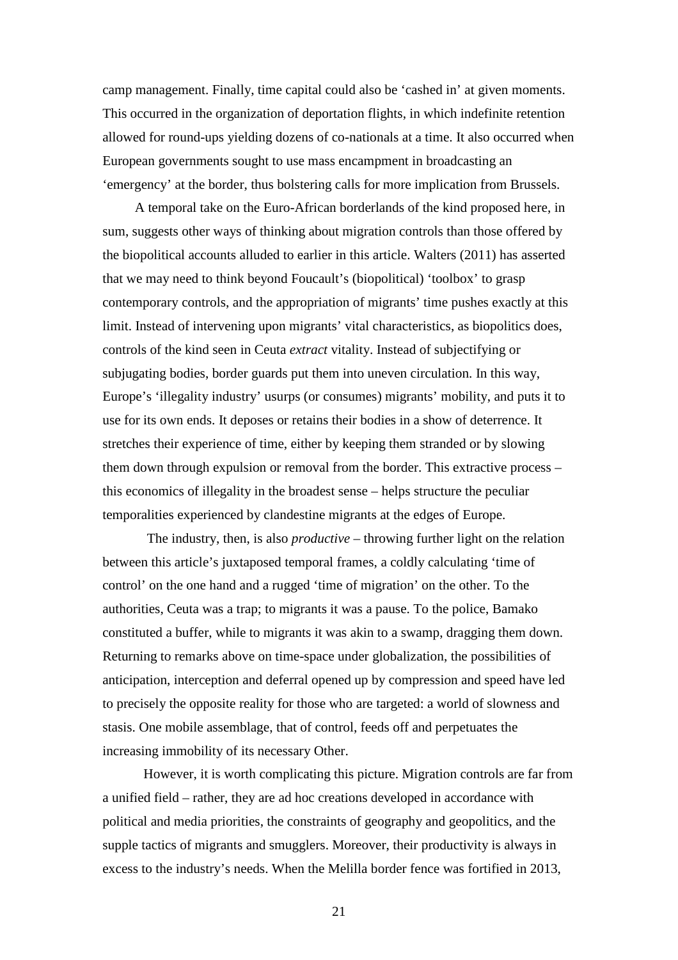camp management. Finally, time capital could also be 'cashed in' at given moments. This occurred in the organization of deportation flights, in which indefinite retention allowed for round-ups yielding dozens of co-nationals at a time. It also occurred when European governments sought to use mass encampment in broadcasting an 'emergency' at the border, thus bolstering calls for more implication from Brussels.

A temporal take on the Euro-African borderlands of the kind proposed here, in sum, suggests other ways of thinking about migration controls than those offered by the biopolitical accounts alluded to earlier in this article. Walters (2011) has asserted that we may need to think beyond Foucault's (biopolitical) 'toolbox' to grasp contemporary controls, and the appropriation of migrants' time pushes exactly at this limit. Instead of intervening upon migrants' vital characteristics, as biopolitics does, controls of the kind seen in Ceuta *extract* vitality. Instead of subjectifying or subjugating bodies, border guards put them into uneven circulation. In this way, Europe's 'illegality industry' usurps (or consumes) migrants' mobility, and puts it to use for its own ends. It deposes or retains their bodies in a show of deterrence. It stretches their experience of time, either by keeping them stranded or by slowing them down through expulsion or removal from the border. This extractive process – this economics of illegality in the broadest sense – helps structure the peculiar temporalities experienced by clandestine migrants at the edges of Europe.

The industry, then, is also *productive* – throwing further light on the relation between this article's juxtaposed temporal frames, a coldly calculating 'time of control' on the one hand and a rugged 'time of migration' on the other. To the authorities, Ceuta was a trap; to migrants it was a pause. To the police, Bamako constituted a buffer, while to migrants it was akin to a swamp, dragging them down. Returning to remarks above on time-space under globalization, the possibilities of anticipation, interception and deferral opened up by compression and speed have led to precisely the opposite reality for those who are targeted: a world of slowness and stasis. One mobile assemblage, that of control, feeds off and perpetuates the increasing immobility of its necessary Other.

However, it is worth complicating this picture. Migration controls are far from a unified field – rather, they are ad hoc creations developed in accordance with political and media priorities, the constraints of geography and geopolitics, and the supple tactics of migrants and smugglers. Moreover, their productivity is always in excess to the industry's needs. When the Melilla border fence was fortified in 2013,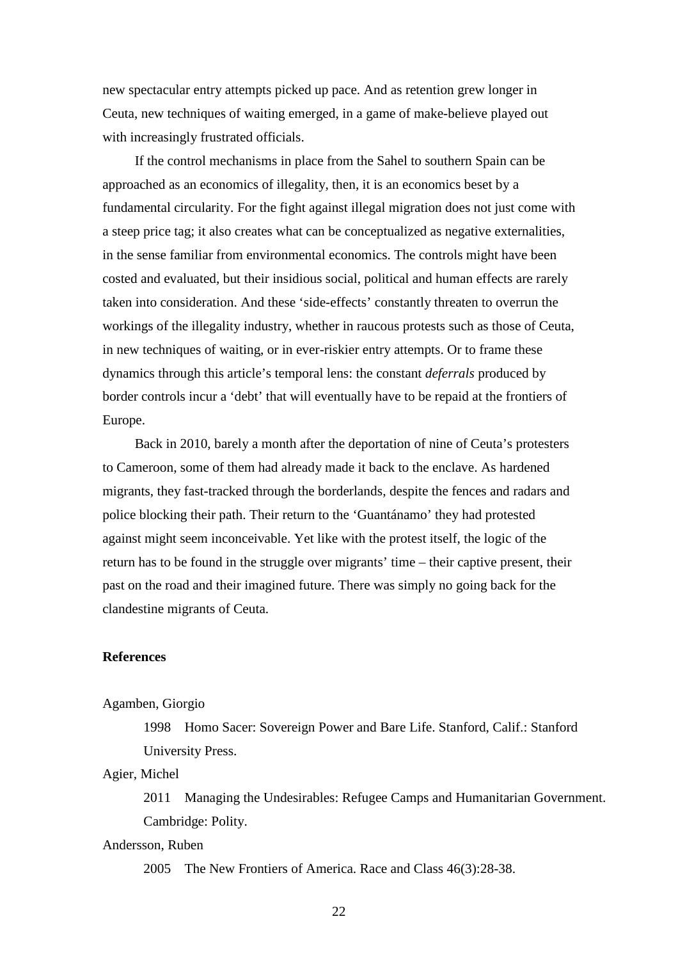new spectacular entry attempts picked up pace. And as retention grew longer in Ceuta, new techniques of waiting emerged, in a game of make-believe played out with increasingly frustrated officials.

If the control mechanisms in place from the Sahel to southern Spain can be approached as an economics of illegality, then, it is an economics beset by a fundamental circularity. For the fight against illegal migration does not just come with a steep price tag; it also creates what can be conceptualized as negative externalities, in the sense familiar from environmental economics. The controls might have been costed and evaluated, but their insidious social, political and human effects are rarely taken into consideration. And these 'side-effects' constantly threaten to overrun the workings of the illegality industry, whether in raucous protests such as those of Ceuta, in new techniques of waiting, or in ever-riskier entry attempts. Or to frame these dynamics through this article's temporal lens: the constant *deferrals* produced by border controls incur a 'debt' that will eventually have to be repaid at the frontiers of Europe.

Back in 2010, barely a month after the deportation of nine of Ceuta's protesters to Cameroon, some of them had already made it back to the enclave. As hardened migrants, they fast-tracked through the borderlands, despite the fences and radars and police blocking their path. Their return to the 'Guantánamo' they had protested against might seem inconceivable. Yet like with the protest itself, the logic of the return has to be found in the struggle over migrants' time – their captive present, their past on the road and their imagined future. There was simply no going back for the clandestine migrants of Ceuta.

#### **References**

Agamben, Giorgio

1998 Homo Sacer: Sovereign Power and Bare Life. Stanford, Calif.: Stanford University Press.

Agier, Michel

2011 Managing the Undesirables: Refugee Camps and Humanitarian Government. Cambridge: Polity.

Andersson, Ruben

2005 The New Frontiers of America. Race and Class 46(3):28-38.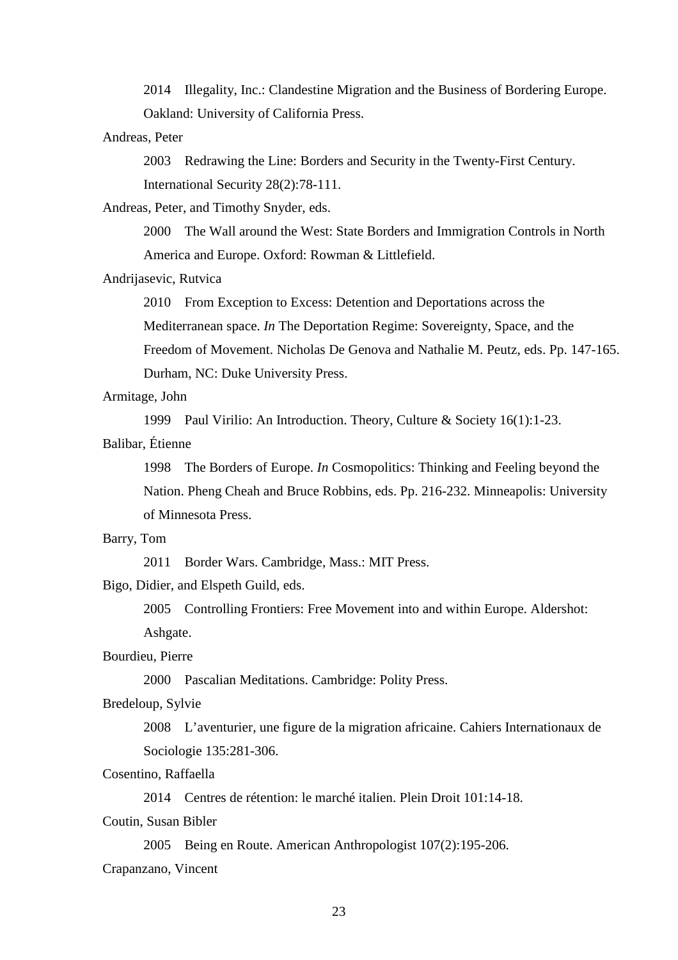2014 Illegality, Inc.: Clandestine Migration and the Business of Bordering Europe. Oakland: University of California Press.

Andreas, Peter

2003 Redrawing the Line: Borders and Security in the Twenty-First Century. International Security 28(2):78-111.

Andreas, Peter, and Timothy Snyder, eds.

2000 The Wall around the West: State Borders and Immigration Controls in North America and Europe. Oxford: Rowman & Littlefield.

Andrijasevic, Rutvica

2010 From Exception to Excess: Detention and Deportations across the

Mediterranean space. *In* The Deportation Regime: Sovereignty, Space, and the

Freedom of Movement. Nicholas De Genova and Nathalie M. Peutz, eds. Pp. 147-165.

Durham, NC: Duke University Press.

## Armitage, John

1999 Paul Virilio: An Introduction. Theory, Culture & Society 16(1):1-23.

# Balibar, Étienne

1998 The Borders of Europe. *In* Cosmopolitics: Thinking and Feeling beyond the Nation. Pheng Cheah and Bruce Robbins, eds. Pp. 216-232. Minneapolis: University of Minnesota Press.

#### Barry, Tom

2011 Border Wars. Cambridge, Mass.: MIT Press.

Bigo, Didier, and Elspeth Guild, eds.

2005 Controlling Frontiers: Free Movement into and within Europe. Aldershot: Ashgate.

#### Bourdieu, Pierre

2000 Pascalian Meditations. Cambridge: Polity Press.

# Bredeloup, Sylvie

2008 L'aventurier, une figure de la migration africaine. Cahiers Internationaux de Sociologie 135:281-306.

#### Cosentino, Raffaella

2014 Centres de rétention: le marché italien. Plein Droit 101:14-18.

#### Coutin, Susan Bibler

2005 Being en Route. American Anthropologist 107(2):195-206.

Crapanzano, Vincent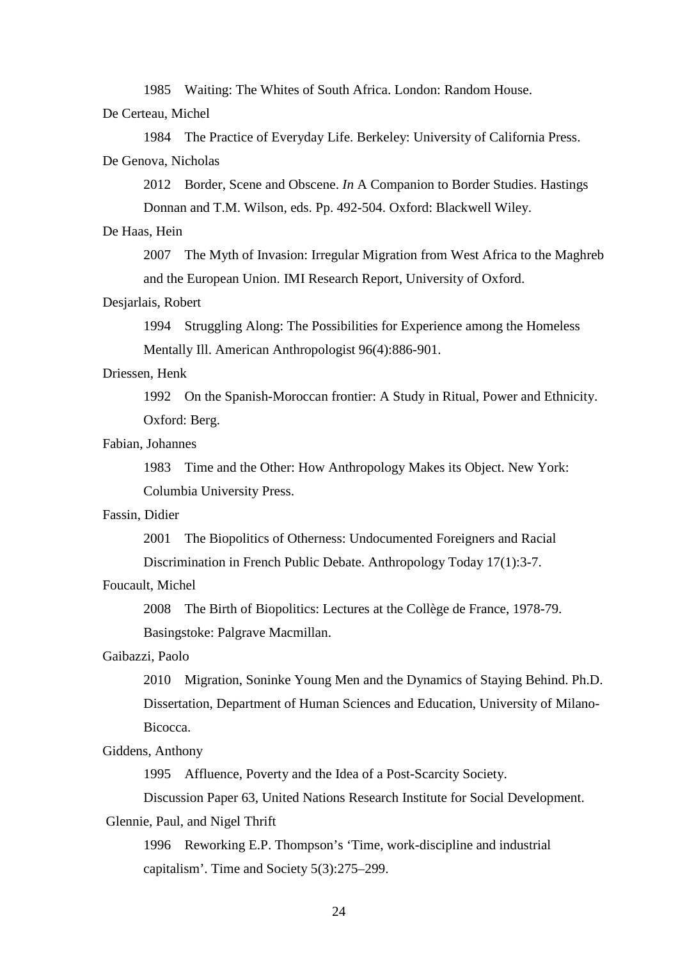1985 Waiting: The Whites of South Africa. London: Random House.

De Certeau, Michel

1984 The Practice of Everyday Life. Berkeley: University of California Press. De Genova, Nicholas

2012 Border, Scene and Obscene. *In* A Companion to Border Studies. Hastings Donnan and T.M. Wilson, eds. Pp. 492-504. Oxford: Blackwell Wiley.

## De Haas, Hein

2007 The Myth of Invasion: Irregular Migration from West Africa to the Maghreb and the European Union. IMI Research Report, University of Oxford.

# Desjarlais, Robert

1994 Struggling Along: The Possibilities for Experience among the Homeless Mentally Ill. American Anthropologist 96(4):886-901.

#### Driessen, Henk

1992 On the Spanish-Moroccan frontier: A Study in Ritual, Power and Ethnicity. Oxford: Berg.

# Fabian, Johannes

1983 Time and the Other: How Anthropology Makes its Object. New York: Columbia University Press.

#### Fassin, Didier

2001 The Biopolitics of Otherness: Undocumented Foreigners and Racial

Discrimination in French Public Debate. Anthropology Today 17(1):3-7.

#### Foucault, Michel

2008 The Birth of Biopolitics: Lectures at the Collège de France, 1978-79. Basingstoke: Palgrave Macmillan.

# Gaibazzi, Paolo

2010 Migration, Soninke Young Men and the Dynamics of Staying Behind. Ph.D. Dissertation, Department of Human Sciences and Education, University of Milano-Bicocca.

#### Giddens, Anthony

1995 Affluence, Poverty and the Idea of a Post-Scarcity Society.

Discussion Paper 63, United Nations Research Institute for Social Development.

# Glennie, Paul, and Nigel Thrift

1996 Reworking E.P. Thompson's 'Time, work-discipline and industrial capitalism'. Time and Society 5(3):275–299.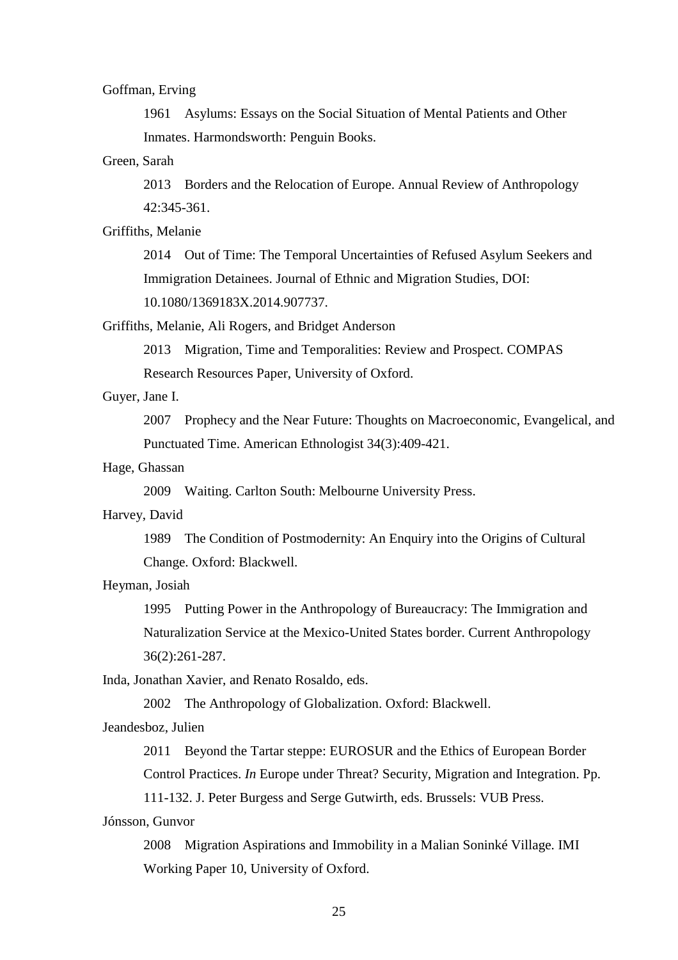#### Goffman, Erving

1961 Asylums: Essays on the Social Situation of Mental Patients and Other Inmates. Harmondsworth: Penguin Books.

# Green, Sarah

2013 Borders and the Relocation of Europe. Annual Review of Anthropology 42:345-361.

Griffiths, Melanie

2014 Out of Time: The Temporal Uncertainties of Refused Asylum Seekers and Immigration Detainees. Journal of Ethnic and Migration Studies, DOI: 10.1080/1369183X.2014.907737.

Griffiths, Melanie, Ali Rogers, and Bridget Anderson

2013 Migration, Time and Temporalities: Review and Prospect. COMPAS Research Resources Paper, University of Oxford.

# Guyer, Jane I.

2007 Prophecy and the Near Future: Thoughts on Macroeconomic, Evangelical, and Punctuated Time. American Ethnologist 34(3):409-421.

Hage, Ghassan

2009 Waiting. Carlton South: Melbourne University Press.

#### Harvey, David

1989 The Condition of Postmodernity: An Enquiry into the Origins of Cultural Change. Oxford: Blackwell.

#### Heyman, Josiah

1995 Putting Power in the Anthropology of Bureaucracy: The Immigration and Naturalization Service at the Mexico-United States border. Current Anthropology 36(2):261-287.

Inda, Jonathan Xavier, and Renato Rosaldo, eds.

2002 The Anthropology of Globalization. Oxford: Blackwell.

#### Jeandesboz, Julien

2011 Beyond the Tartar steppe: EUROSUR and the Ethics of European Border Control Practices. *In* Europe under Threat? Security, Migration and Integration. Pp.

111-132. J. Peter Burgess and Serge Gutwirth, eds. Brussels: VUB Press.

#### Jónsson, Gunvor

2008 Migration Aspirations and Immobility in a Malian Soninké Village. IMI Working Paper 10, University of Oxford.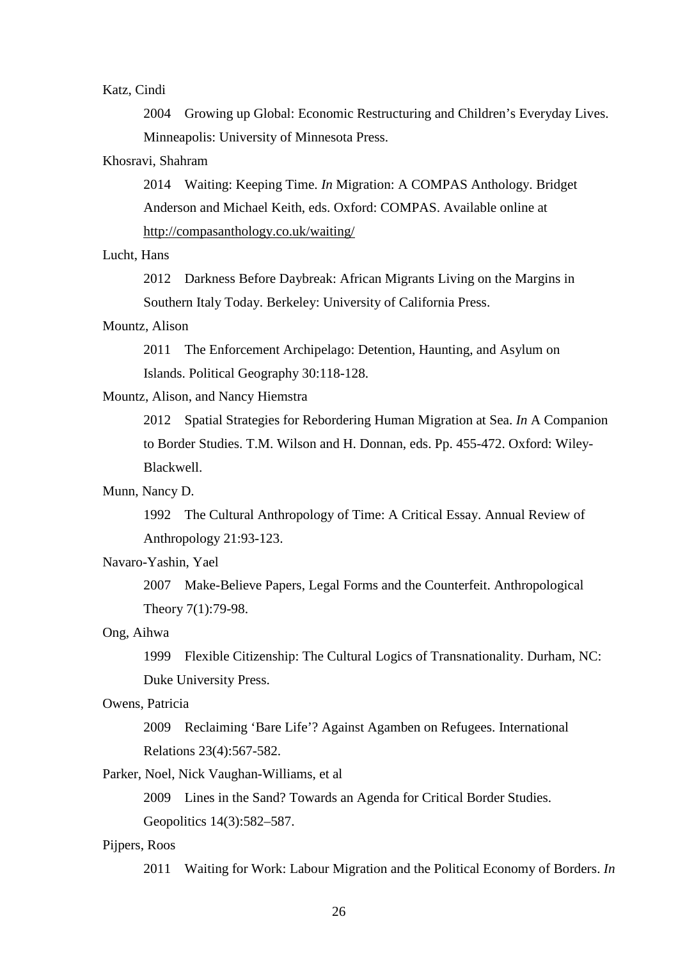#### Katz, Cindi

2004 Growing up Global: Economic Restructuring and Children's Everyday Lives. Minneapolis: University of Minnesota Press.

# Khosravi, Shahram

2014 Waiting: Keeping Time. *In* Migration: A COMPAS Anthology. Bridget Anderson and Michael Keith, eds. Oxford: COMPAS. Available online at <http://compasanthology.co.uk/waiting/>

#### Lucht, Hans

2012 Darkness Before Daybreak: African Migrants Living on the Margins in Southern Italy Today. Berkeley: University of California Press.

# Mountz, Alison

2011 The Enforcement Archipelago: Detention, Haunting, and Asylum on Islands. Political Geography 30:118-128.

#### Mountz, Alison, and Nancy Hiemstra

2012 Spatial Strategies for Rebordering Human Migration at Sea. *In* A Companion to Border Studies. T.M. Wilson and H. Donnan, eds. Pp. 455-472. Oxford: Wiley-Blackwell.

#### Munn, Nancy D.

1992 The Cultural Anthropology of Time: A Critical Essay. Annual Review of Anthropology 21:93-123.

#### Navaro-Yashin, Yael

2007 Make-Believe Papers, Legal Forms and the Counterfeit. Anthropological Theory 7(1):79-98.

#### Ong, Aihwa

1999 Flexible Citizenship: The Cultural Logics of Transnationality. Durham, NC: Duke University Press.

# Owens, Patricia

2009 Reclaiming 'Bare Life'? Against Agamben on Refugees. International Relations 23(4):567-582.

# Parker, Noel, Nick Vaughan-Williams, et al

2009 Lines in the Sand? Towards an Agenda for Critical Border Studies. Geopolitics 14(3):582–587.

## Pijpers, Roos

2011 Waiting for Work: Labour Migration and the Political Economy of Borders. *In*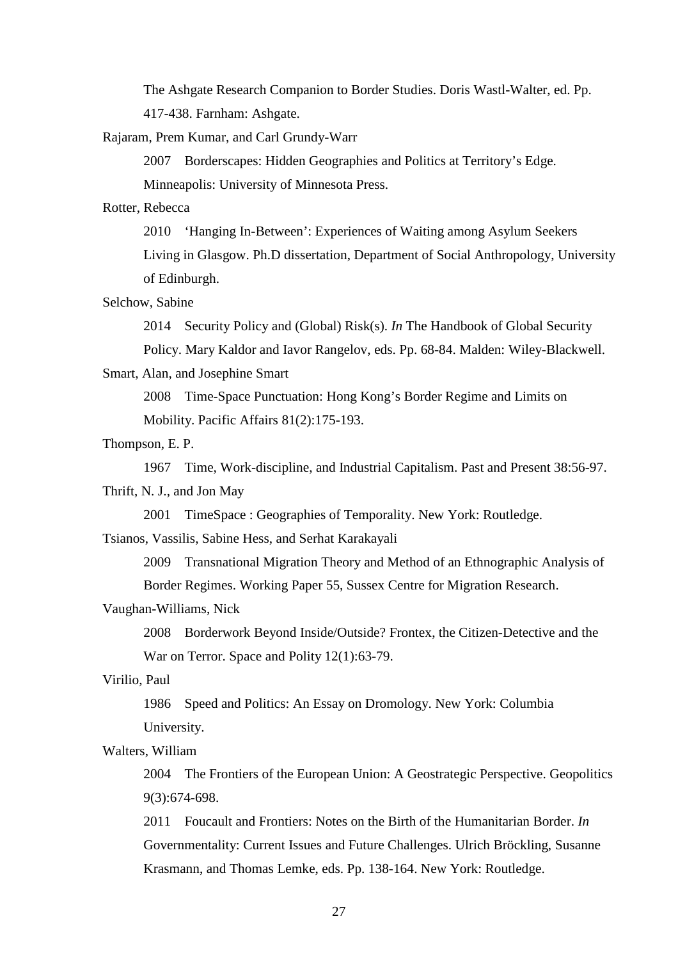The Ashgate Research Companion to Border Studies. Doris Wastl-Walter, ed. Pp. 417-438. Farnham: Ashgate.

Rajaram, Prem Kumar, and Carl Grundy-Warr

2007 Borderscapes: Hidden Geographies and Politics at Territory's Edge.

Minneapolis: University of Minnesota Press.

Rotter, Rebecca

2010 'Hanging In-Between': Experiences of Waiting among Asylum Seekers Living in Glasgow. Ph.D dissertation, Department of Social Anthropology, University of Edinburgh.

Selchow, Sabine

2014 Security Policy and (Global) Risk(s). *In* The Handbook of Global Security Policy. Mary Kaldor and Iavor Rangelov, eds. Pp. 68-84. Malden: Wiley-Blackwell.

Smart, Alan, and Josephine Smart

2008 Time-Space Punctuation: Hong Kong's Border Regime and Limits on Mobility. Pacific Affairs 81(2):175-193.

Thompson, E. P.

1967 Time, Work-discipline, and Industrial Capitalism. Past and Present 38:56-97. Thrift, N. J., and Jon May

2001 TimeSpace : Geographies of Temporality. New York: Routledge.

Tsianos, Vassilis, Sabine Hess, and Serhat Karakayali

2009 Transnational Migration Theory and Method of an Ethnographic Analysis of Border Regimes. Working Paper 55, Sussex Centre for Migration Research.

Vaughan-Williams, Nick

2008 Borderwork Beyond Inside/Outside? Frontex, the Citizen-Detective and the War on Terror. Space and Polity 12(1):63-79.

Virilio, Paul

1986 Speed and Politics: An Essay on Dromology. New York: Columbia University.

Walters, William

2004 The Frontiers of the European Union: A Geostrategic Perspective. Geopolitics 9(3):674-698.

2011 Foucault and Frontiers: Notes on the Birth of the Humanitarian Border. *In* Governmentality: Current Issues and Future Challenges. Ulrich Bröckling, Susanne Krasmann, and Thomas Lemke, eds. Pp. 138-164. New York: Routledge.